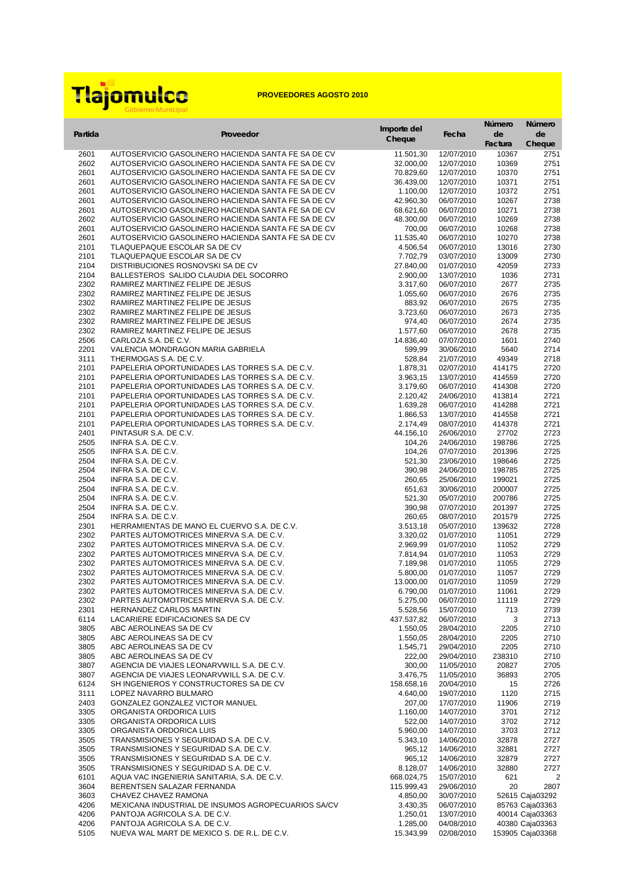|              |                                                                                                          | Importe del            |                          | Número           | Número                             |
|--------------|----------------------------------------------------------------------------------------------------------|------------------------|--------------------------|------------------|------------------------------------|
| Partida      | Proveedor                                                                                                | Cheque                 | Fecha                    | de               | de                                 |
|              |                                                                                                          |                        |                          | Factura          | Cheque                             |
| 2601<br>2602 | AUTOSERVICIO GASOLINERO HACIENDA SANTA FE SA DE CV<br>AUTOSERVICIO GASOLINERO HACIENDA SANTA FE SA DE CV | 11.501,30<br>32.000,00 | 12/07/2010<br>12/07/2010 | 10367<br>10369   | 2751<br>2751                       |
| 2601         | AUTOSERVICIO GASOLINERO HACIENDA SANTA FE SA DE CV                                                       | 70.829,60              | 12/07/2010               | 10370            | 2751                               |
| 2601         | AUTOSERVICIO GASOLINERO HACIENDA SANTA FE SA DE CV                                                       | 36.439,00              | 12/07/2010               | 10371            | 2751                               |
| 2601         | AUTOSERVICIO GASOLINERO HACIENDA SANTA FE SA DE CV                                                       | 1.100,00               | 12/07/2010               | 10372            | 2751                               |
| 2601         | AUTOSERVICIO GASOLINERO HACIENDA SANTA FE SA DE CV                                                       | 42.960,30              | 06/07/2010               | 10267            | 2738                               |
| 2601         | AUTOSERVICIO GASOLINERO HACIENDA SANTA FE SA DE CV                                                       | 68.621,60              | 06/07/2010               | 10271            | 2738                               |
| 2602         | AUTOSERVICIO GASOLINERO HACIENDA SANTA FE SA DE CV                                                       | 48.300,00              | 06/07/2010               | 10269            | 2738                               |
| 2601<br>2601 | AUTOSERVICIO GASOLINERO HACIENDA SANTA FE SA DE CV<br>AUTOSERVICIO GASOLINERO HACIENDA SANTA FE SA DE CV | 700,00<br>11.535,40    | 06/07/2010<br>06/07/2010 | 10268<br>10270   | 2738<br>2738                       |
| 2101         | TLAQUEPAQUE ESCOLAR SA DE CV                                                                             | 4.506,54               | 06/07/2010               | 13016            | 2730                               |
| 2101         | TLAQUEPAQUE ESCOLAR SA DE CV                                                                             | 7.702,79               | 03/07/2010               | 13009            | 2730                               |
| 2104         | DISTRIBUCIONES ROSNOVSKI SA DE CV                                                                        | 27.840,00              | 01/07/2010               | 42059            | 2733                               |
| 2104         | BALLESTEROS SALIDO CLAUDIA DEL SOCORRO                                                                   | 2.900,00               | 13/07/2010               | 1036             | 2731                               |
| 2302         | RAMIREZ MARTINEZ FELIPE DE JESUS                                                                         | 3.317,60               | 06/07/2010               | 2677             | 2735                               |
| 2302         | RAMIREZ MARTINEZ FELIPE DE JESUS                                                                         | 1.055,60               | 06/07/2010               | 2676             | 2735                               |
| 2302         | RAMIREZ MARTINEZ FELIPE DE JESUS                                                                         | 883,92                 | 06/07/2010               | 2675             | 2735                               |
| 2302<br>2302 | RAMIREZ MARTINEZ FELIPE DE JESUS<br>RAMIREZ MARTINEZ FELIPE DE JESUS                                     | 3.723,60<br>974,40     | 06/07/2010<br>06/07/2010 | 2673<br>2674     | 2735<br>2735                       |
| 2302         | RAMIREZ MARTINEZ FELIPE DE JESUS                                                                         | 1.577,60               | 06/07/2010               | 2678             | 2735                               |
| 2506         | CARLOZA S.A. DE C.V.                                                                                     | 14.836,40              | 07/07/2010               | 1601             | 2740                               |
| 2201         | VALENCIA MONDRAGON MARIA GABRIELA                                                                        | 599,99                 | 30/06/2010               | 5640             | 2714                               |
| 3111         | THERMOGAS S.A. DE C.V.                                                                                   | 528,84                 | 21/07/2010               | 49349            | 2718                               |
| 2101         | PAPELERIA OPORTUNIDADES LAS TORRES S.A. DE C.V.                                                          | 1.878,31               | 02/07/2010               | 414175           | 2720                               |
| 2101         | PAPELERIA OPORTUNIDADES LAS TORRES S.A. DE C.V.                                                          | 3.963,15               | 13/07/2010               | 414559           | 2720                               |
| 2101         | PAPELERIA OPORTUNIDADES LAS TORRES S.A. DE C.V.                                                          | 3.179,60               | 06/07/2010               | 414308           | 2720                               |
| 2101<br>2101 | PAPELERIA OPORTUNIDADES LAS TORRES S.A. DE C.V.<br>PAPELERIA OPORTUNIDADES LAS TORRES S.A. DE C.V.       | 2.120,42<br>1.639,28   | 24/06/2010<br>06/07/2010 | 413814<br>414288 | 2721<br>2721                       |
| 2101         | PAPELERIA OPORTUNIDADES LAS TORRES S.A. DE C.V.                                                          | 1.866,53               | 13/07/2010               | 414558           | 2721                               |
| 2101         | PAPELERIA OPORTUNIDADES LAS TORRES S.A. DE C.V.                                                          | 2.174,49               | 08/07/2010               | 414378           | 2721                               |
| 2401         | PINTASUR S.A. DE C.V.                                                                                    | 44.156,10              | 26/06/2010               | 27702            | 2723                               |
| 2505         | INFRA S.A. DE C.V.                                                                                       | 104,26                 | 24/06/2010               | 198786           | 2725                               |
| 2505         | INFRA S.A. DE C.V.                                                                                       | 104,26                 | 07/07/2010               | 201396           | 2725                               |
| 2504         | INFRA S.A. DE C.V.                                                                                       | 521,30                 | 23/06/2010               | 198646           | 2725                               |
| 2504<br>2504 | INFRA S.A. DE C.V.<br>INFRA S.A. DE C.V.                                                                 | 390,98<br>260,65       | 24/06/2010<br>25/06/2010 | 198785<br>199021 | 2725<br>2725                       |
| 2504         | INFRA S.A. DE C.V.                                                                                       | 651,63                 | 30/06/2010               | 200007           | 2725                               |
| 2504         | INFRA S.A. DE C.V.                                                                                       | 521,30                 | 05/07/2010               | 200786           | 2725                               |
| 2504         | INFRA S.A. DE C.V.                                                                                       | 390,98                 | 07/07/2010               | 201397           | 2725                               |
| 2504         | INFRA S.A. DE C.V.                                                                                       | 260,65                 | 08/07/2010               | 201579           | 2725                               |
| 2301         | HERRAMIENTAS DE MANO EL CUERVO S.A. DE C.V.                                                              | 3.513,18               | 05/07/2010               | 139632           | 2728                               |
| 2302         | PARTES AUTOMOTRICES MINERVA S.A. DE C.V.                                                                 | 3.320,02               | 01/07/2010               | 11051            | 2729                               |
| 2302         | PARTES AUTOMOTRICES MINERVA S.A. DE C.V.                                                                 | 2.969,99               | 01/07/2010               | 11052            | 2729                               |
| 2302<br>2302 | PARTES AUTOMOTRICES MINERVA S.A. DE C.V.<br>PARTES AUTOMOTRICES MINERVA S.A. DE C.V.                     | 7.814,94<br>7.189,98   | 01/07/2010<br>01/07/2010 | 11053<br>11055   | 2729<br>2729                       |
| 2302         | PARTES AUTOMOTRICES MINERVA S.A. DE C.V.                                                                 | 5.800,00               | 01/07/2010               | 11057            | 2729                               |
| 2302         | PARTES AUTOMOTRICES MINERVA S.A. DE C.V.                                                                 | 13.000,00              | 01/07/2010               | 11059            | 2729                               |
| 2302         | PARTES AUTOMOTRICES MINERVA S.A. DE C.V.                                                                 | 6.790,00               | 01/07/2010               | 11061            | 2729                               |
| 2302         | PARTES AUTOMOTRICES MINERVA S.A. DE C.V.                                                                 | 5.275,00               | 06/07/2010               | 11119            | 2729                               |
| 2301         | HERNANDEZ CARLOS MARTIN                                                                                  | 5.528,56               | 15/07/2010               | 713              | 2739                               |
| 6114         | LACARIERE EDIFICACIONES SA DE CV                                                                         | 437.537,82             | 06/07/2010               | 3                | 2713                               |
| 3805         | ABC AEROLINEAS SA DE CV                                                                                  | 1.550,05               | 28/04/2010               | 2205             | 2710                               |
| 3805<br>3805 | ABC AEROLINEAS SA DE CV<br>ABC AEROLINEAS SA DE CV                                                       | 1.550,05<br>1.545,71   | 28/04/2010<br>29/04/2010 | 2205<br>2205     | 2710<br>2710                       |
| 3805         | ABC AEROLINEAS SA DE CV                                                                                  | 222,00                 | 29/04/2010               | 238310           | 2710                               |
| 3807         | AGENCIA DE VIAJES LEONARVWILL S.A. DE C.V.                                                               | 300,00                 | 11/05/2010               | 20827            | 2705                               |
| 3807         | AGENCIA DE VIAJES LEONARVWILL S.A. DE C.V.                                                               | 3.476,75               | 11/05/2010               | 36893            | 2705                               |
| 6124         | SH INGENIEROS Y CONSTRUCTORES SA DE CV                                                                   | 158.658,16             | 20/04/2010               | 15               | 2726                               |
| 3111         | LOPEZ NAVARRO BULMARO                                                                                    | 4.640,00               | 19/07/2010               | 1120             | 2715                               |
| 2403         | GONZALEZ GONZALEZ VICTOR MANUEL                                                                          | 207,00                 | 17/07/2010               | 11906            | 2719                               |
| 3305         | ORGANISTA ORDORICA LUIS<br>ORGANISTA ORDORICA LUIS                                                       | 1.160,00               | 14/07/2010               | 3701             | 2712                               |
| 3305<br>3305 | ORGANISTA ORDORICA LUIS                                                                                  | 522,00<br>5.960,00     | 14/07/2010<br>14/07/2010 | 3702<br>3703     | 2712<br>2712                       |
| 3505         | TRANSMISIONES Y SEGURIDAD S.A. DE C.V.                                                                   | 5.343,10               | 14/06/2010               | 32878            | 2727                               |
| 3505         | TRANSMISIONES Y SEGURIDAD S.A. DE C.V.                                                                   | 965,12                 | 14/06/2010               | 32881            | 2727                               |
| 3505         | TRANSMISIONES Y SEGURIDAD S.A. DE C.V.                                                                   | 965,12                 | 14/06/2010               | 32879            | 2727                               |
| 3505         | TRANSMISIONES Y SEGURIDAD S.A. DE C.V.                                                                   | 8.128,07               | 14/06/2010               | 32880            | 2727                               |
| 6101         | AQUA VAC INGENIERIA SANITARIA, S.A. DE C.V.                                                              | 668.024,75             | 15/07/2010               | 621              | $\overline{2}$                     |
| 3604         | BERENTSEN SALAZAR FERNANDA                                                                               | 115.999,43             | 29/06/2010               | 20               | 2807                               |
| 3603         | CHAVEZ CHAVEZ RAMONA                                                                                     | 4.850,00               | 30/07/2010               |                  | 52615 Caja03292                    |
| 4206<br>4206 | MEXICANA INDUSTRIAL DE INSUMOS AGROPECUARIOS SA/CV<br>PANTOJA AGRICOLA S.A. DE C.V.                      | 3.430,35<br>1.250,01   | 06/07/2010<br>13/07/2010 |                  | 85763 Caja03363<br>40014 Caja03363 |
| 4206         | PANTOJA AGRICOLA S.A. DE C.V.                                                                            | 1.285,00               | 04/08/2010               |                  | 40380 Caja03363                    |
| 5105         | NUEVA WAL MART DE MEXICO S. DE R.L. DE C.V.                                                              | 15.343,99              | 02/08/2010               |                  | 153905 Caja03368                   |



**PROVEEDORES AGOSTO 2010**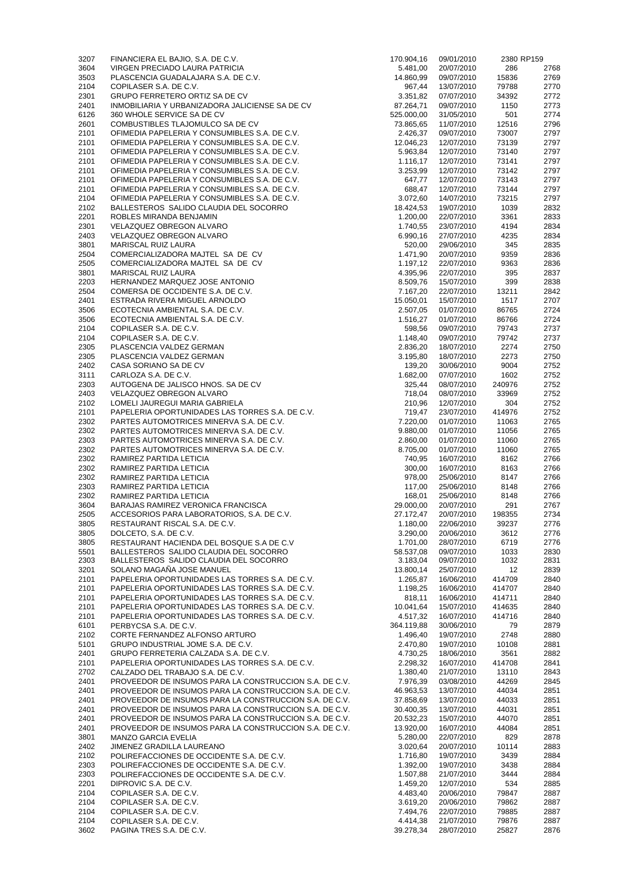| 3207         | FINANCIERA EL BAJIO, S.A. DE C.V.                                                                                | 170.904,16             | 09/01/2010               | 2380 RP159       |              |
|--------------|------------------------------------------------------------------------------------------------------------------|------------------------|--------------------------|------------------|--------------|
| 3604         | VIRGEN PRECIADO LAURA PATRICIA                                                                                   | 5.481,00               | 20/07/2010               | 286              | 2768         |
| 3503<br>2104 | PLASCENCIA GUADALAJARA S.A. DE C.V.<br>COPILASER S.A. DE C.V.                                                    | 14.860,99<br>967,44    | 09/07/2010<br>13/07/2010 | 15836<br>79788   | 2769<br>2770 |
| 2301         | <b>GRUPO FERRETERO ORTIZ SA DE CV</b>                                                                            | 3.351,82               | 07/07/2010               | 34392            | 2772         |
| 2401         | INMOBILIARIA Y URBANIZADORA JALICIENSE SA DE CV                                                                  | 87.264,71              | 09/07/2010               | 1150             | 2773         |
| 6126         | 360 WHOLE SERVICE SA DE CV                                                                                       | 525.000,00             | 31/05/2010               | 501              | 2774         |
| 2601         | COMBUSTIBLES TLAJOMULCO SA DE CV                                                                                 | 73.865,65              | 11/07/2010               | 12516            | 2796         |
| 2101<br>2101 | OFIMEDIA PAPELERIA Y CONSUMIBLES S.A. DE C.V.<br>OFIMEDIA PAPELERIA Y CONSUMIBLES S.A. DE C.V.                   | 2.426,37<br>12.046,23  | 09/07/2010<br>12/07/2010 | 73007<br>73139   | 2797<br>2797 |
| 2101         | OFIMEDIA PAPELERIA Y CONSUMIBLES S.A. DE C.V.                                                                    | 5.963,84               | 12/07/2010               | 73140            | 2797         |
| 2101         | OFIMEDIA PAPELERIA Y CONSUMIBLES S.A. DE C.V.                                                                    | 1.116, 17              | 12/07/2010               | 73141            | 2797         |
| 2101         | OFIMEDIA PAPELERIA Y CONSUMIBLES S.A. DE C.V.                                                                    | 3.253,99               | 12/07/2010               | 73142            | 2797         |
| 2101         | OFIMEDIA PAPELERIA Y CONSUMIBLES S.A. DE C.V.                                                                    | 647,77                 | 12/07/2010               | 73143            | 2797         |
| 2101         | OFIMEDIA PAPELERIA Y CONSUMIBLES S.A. DE C.V.                                                                    | 688,47                 | 12/07/2010               | 73144            | 2797         |
| 2104<br>2102 | OFIMEDIA PAPELERIA Y CONSUMIBLES S.A. DE C.V.<br>BALLESTEROS SALIDO CLAUDIA DEL SOCORRO                          | 3.072,60<br>18.424,53  | 14/07/2010<br>19/07/2010 | 73215<br>1039    | 2797<br>2832 |
| 2201         | ROBLES MIRANDA BENJAMIN                                                                                          | 1.200,00               | 22/07/2010               | 3361             | 2833         |
| 2301         | VELAZQUEZ OBREGON ALVARO                                                                                         | 1.740,55               | 23/07/2010               | 4194             | 2834         |
| 2403         | VELAZQUEZ OBREGON ALVARO                                                                                         | 6.990,16               | 27/07/2010               | 4235             | 2834         |
| 3801         | <b>MARISCAL RUIZ LAURA</b>                                                                                       | 520,00                 | 29/06/2010               | 345              | 2835         |
| 2504<br>2505 | COMERCIALIZADORA MAJTEL SA DE CV<br>COMERCIALIZADORA MAJTEL SA DE CV                                             | 1.471,90<br>1.197, 12  | 20/07/2010<br>22/07/2010 | 9359<br>9363     | 2836<br>2836 |
| 3801         | <b>MARISCAL RUIZ LAURA</b>                                                                                       | 4.395,96               | 22/07/2010               | 395              | 2837         |
| 2203         | HERNANDEZ MARQUEZ JOSE ANTONIO                                                                                   | 8.509,76               | 15/07/2010               | 399              | 2838         |
| 2504         | COMERSA DE OCCIDENTE S.A. DE C.V.                                                                                | 7.167,20               | 22/07/2010               | 13211            | 2842         |
| 2401         | ESTRADA RIVERA MIGUEL ARNOLDO                                                                                    | 15.050,01              | 15/07/2010               | 1517             | 2707         |
| 3506<br>3506 | ECOTECNIA AMBIENTAL S.A. DE C.V.<br>ECOTECNIA AMBIENTAL S.A. DE C.V.                                             | 2.507,05<br>1.516,27   | 01/07/2010<br>01/07/2010 | 86765<br>86766   | 2724<br>2724 |
| 2104         | COPILASER S.A. DE C.V.                                                                                           | 598,56                 | 09/07/2010               | 79743            | 2737         |
| 2104         | COPILASER S.A. DE C.V.                                                                                           | 1.148,40               | 09/07/2010               | 79742            | 2737         |
| 2305         | PLASCENCIA VALDEZ GERMAN                                                                                         | 2.836,20               | 18/07/2010               | 2274             | 2750         |
| 2305         | PLASCENCIA VALDEZ GERMAN                                                                                         | 3.195,80               | 18/07/2010               | 2273             | 2750         |
| 2402<br>3111 | CASA SORIANO SA DE CV<br>CARLOZA S.A. DE C.V.                                                                    | 139,20<br>1.682,00     | 30/06/2010<br>07/07/2010 | 9004<br>1602     | 2752<br>2752 |
| 2303         | AUTOGENA DE JALISCO HNOS. SA DE CV                                                                               | 325,44                 | 08/07/2010               | 240976           | 2752         |
| 2403         | VELAZQUEZ OBREGON ALVARO                                                                                         | 718,04                 | 08/07/2010               | 33969            | 2752         |
| 2102         | LOMELI JAUREGUI MARIA GABRIELA                                                                                   | 210,96                 | 12/07/2010               | 304              | 2752         |
| 2101         | PAPELERIA OPORTUNIDADES LAS TORRES S.A. DE C.V.                                                                  | 719,47                 | 23/07/2010               | 414976           | 2752         |
| 2302<br>2302 | PARTES AUTOMOTRICES MINERVA S.A. DE C.V.                                                                         | 7.220,00<br>9.880,00   | 01/07/2010               | 11063<br>11056   | 2765<br>2765 |
| 2303         | PARTES AUTOMOTRICES MINERVA S.A. DE C.V.<br>PARTES AUTOMOTRICES MINERVA S.A. DE C.V.                             | 2.860,00               | 01/07/2010<br>01/07/2010 | 11060            | 2765         |
| 2302         | PARTES AUTOMOTRICES MINERVA S.A. DE C.V.                                                                         | 8.705,00               | 01/07/2010               | 11060            | 2765         |
| 2302         | RAMIREZ PARTIDA LETICIA                                                                                          | 740,95                 | 16/07/2010               | 8162             | 2766         |
| 2302         | RAMIREZ PARTIDA LETICIA                                                                                          | 300,00                 | 16/07/2010               | 8163             | 2766         |
| 2302<br>2303 | RAMIREZ PARTIDA LETICIA<br>RAMIREZ PARTIDA LETICIA                                                               | 978,00<br>117,00       | 25/06/2010               | 8147<br>8148     | 2766<br>2766 |
| 2302         | RAMIREZ PARTIDA LETICIA                                                                                          | 168,01                 | 25/06/2010<br>25/06/2010 | 8148             | 2766         |
| 3604         | BARAJAS RAMIREZ VERONICA FRANCISCA                                                                               | 29.000,00              | 20/07/2010               | 291              | 2767         |
| 2505         | ACCESORIOS PARA LABORATORIOS, S.A. DE C.V.                                                                       | 27.172,47              | 20/07/2010               | 198355           | 2734         |
| 3805         | RESTAURANT RISCAL S.A. DE C.V.                                                                                   | 1.180,00               | 22/06/2010               | 39237            | 2776         |
| 3805<br>3805 | DOLCETO, S.A. DE C.V.<br>RESTAURANT HACIENDA DEL BOSQUE S.A DE C.V                                               | 3.290,00<br>1.701,00   | 20/06/2010<br>28/07/2010 | 3612<br>6719     | 2776<br>2776 |
| 5501         | BALLESTEROS SALIDO CLAUDIA DEL SOCORRO                                                                           | 58.537,08              | 09/07/2010               | 1033             | 2830         |
| 2303         | BALLESTEROS SALIDO CLAUDIA DEL SOCORRO                                                                           | 3.183,04               | 09/07/2010               | 1032             | 2831         |
| 3201         | SOLANO MAGAÑA JOSE MANUEL                                                                                        | 13.800,14              | 25/07/2010               | 12               | 2839         |
| 2101         | PAPELERIA OPORTUNIDADES LAS TORRES S.A. DE C.V.                                                                  | 1.265,87               | 16/06/2010               | 414709           | 2840         |
| 2101<br>2101 | PAPELERIA OPORTUNIDADES LAS TORRES S.A. DE C.V.<br>PAPELERIA OPORTUNIDADES LAS TORRES S.A. DE C.V.               | 1.198,25<br>818,11     | 16/06/2010<br>16/06/2010 | 414707<br>414711 | 2840<br>2840 |
| 2101         | PAPELERIA OPORTUNIDADES LAS TORRES S.A. DE C.V.                                                                  | 10.041,64              | 15/07/2010               | 414635           | 2840         |
| 2101         | PAPELERIA OPORTUNIDADES LAS TORRES S.A. DE C.V.                                                                  | 4.517,32               | 16/07/2010               | 414716           | 2840         |
| 6101         | PERBYCSA S.A. DE C.V.                                                                                            | 364.119,88             | 30/06/2010               | 79               | 2879         |
| 2102         | CORTE FERNANDEZ ALFONSO ARTURO                                                                                   | 1.496,40               | 19/07/2010               | 2748             | 2880         |
| 5101<br>2401 | GRUPO INDUSTRIAL JOME S.A. DE C.V.<br>GRUPO FERRETERIA CALZADA S.A. DE C.V.                                      | 2.470,80<br>4.730,25   | 19/07/2010<br>18/06/2010 | 10108<br>3561    | 2881<br>2882 |
| 2101         | PAPELERIA OPORTUNIDADES LAS TORRES S.A. DE C.V.                                                                  | 2.298,32               | 16/07/2010               | 414708           | 2841         |
| 2702         | CALZADO DEL TRABAJO S.A. DE C.V.                                                                                 | 1.380,40               | 21/07/2010               | 13110            | 2843         |
| 2401         | PROVEEDOR DE INSUMOS PARA LA CONSTRUCCION S.A. DE C.V.                                                           | 7.976,39               | 03/08/2010               | 44269            | 2845         |
| 2401         | PROVEEDOR DE INSUMOS PARA LA CONSTRUCCION S.A. DE C.V.                                                           | 46.963,53              | 13/07/2010               | 44034            | 2851         |
| 2401<br>2401 | PROVEEDOR DE INSUMOS PARA LA CONSTRUCCION S.A. DE C.V.<br>PROVEEDOR DE INSUMOS PARA LA CONSTRUCCION S.A. DE C.V. | 37.858,69<br>30.400,35 | 13/07/2010<br>13/07/2010 | 44033<br>44031   | 2851<br>2851 |
| 2401         | PROVEEDOR DE INSUMOS PARA LA CONSTRUCCION S.A. DE C.V.                                                           | 20.532,23              | 15/07/2010               | 44070            | 2851         |
| 2401         | PROVEEDOR DE INSUMOS PARA LA CONSTRUCCION S.A. DE C.V.                                                           | 13.920,00              | 16/07/2010               | 44084            | 2851         |
| 3801         | MANZO GARCIA EVELIA                                                                                              | 5.280,00               | 22/07/2010               | 829              | 2878         |
| 2402         | JIMENEZ GRADILLA LAUREANO                                                                                        | 3.020,64               | 20/07/2010               | 10114            | 2883         |
| 2102         | POLIREFACCIONES DE OCCIDENTE S.A. DE C.V.                                                                        | 1.716,80               | 19/07/2010               | 3439             | 2884         |
| 2303<br>2303 | POLIREFACCIONES DE OCCIDENTE S.A. DE C.V.<br>POLIREFACCIONES DE OCCIDENTE S.A. DE C.V.                           | 1.392,00<br>1.507,88   | 19/07/2010<br>21/07/2010 | 3438<br>3444     | 2884<br>2884 |
| 2201         | DIPROVIC S.A. DE C.V.                                                                                            | 1.459,20               | 12/07/2010               | 534              | 2885         |
| 2104         | COPILASER S.A. DE C.V.                                                                                           | 4.483,40               | 20/06/2010               | 79847            | 2887         |
| 2104         | COPILASER S.A. DE C.V.                                                                                           | 3.619,20               | 20/06/2010               | 79862            | 2887         |
| 2104         | COPILASER S.A. DE C.V.                                                                                           | 7.494,76               | 22/07/2010               | 79885            | 2887         |
| 2104<br>3602 | COPILASER S.A. DE C.V.<br>PAGINA TRES S.A. DE C.V.                                                               | 4.414,38<br>39.278,34  | 21/07/2010<br>28/07/2010 | 79876<br>25827   | 2887<br>2876 |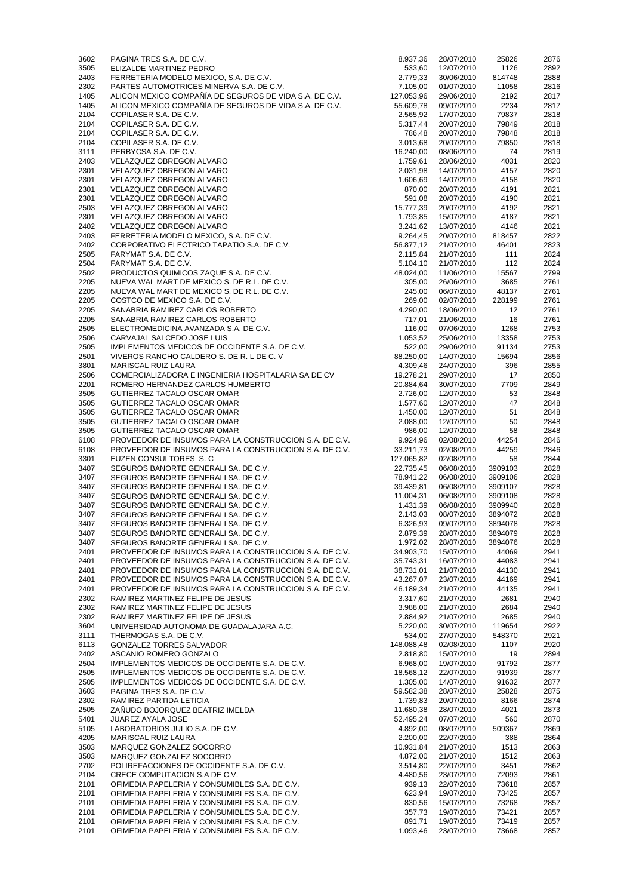| 3602         | PAGINA TRES S.A. DE C.V.                                                                       | 8.937,36           | 28/07/2010               | 25826          | 2876         |
|--------------|------------------------------------------------------------------------------------------------|--------------------|--------------------------|----------------|--------------|
| 3505         | ELIZALDE MARTINEZ PEDRO                                                                        | 533,60             | 12/07/2010               | 1126           | 2892         |
| 2403         | FERRETERIA MODELO MEXICO, S.A. DE C.V.                                                         | 2.779,33           | 30/06/2010               | 814748         | 2888         |
| 2302         | PARTES AUTOMOTRICES MINERVA S.A. DE C.V.                                                       | 7.105,00           | 01/07/2010               | 11058          | 2816         |
| 1405         | ALICON MEXICO COMPAÑÍA DE SEGUROS DE VIDA S.A. DE C.V.                                         | 127.053,96         | 29/06/2010               | 2192           | 2817         |
| 1405         | ALICON MEXICO COMPAÑÍA DE SEGUROS DE VIDA S.A. DE C.V.                                         | 55.609,78          | 09/07/2010               | 2234           | 2817         |
| 2104         | COPILASER S.A. DE C.V.                                                                         | 2.565,92           | 17/07/2010               | 79837          | 2818         |
| 2104         | COPILASER S.A. DE C.V.                                                                         | 5.317,44           | 20/07/2010               | 79849          | 2818         |
| 2104         | COPILASER S.A. DE C.V.                                                                         | 786,48             | 20/07/2010               | 79848          | 2818         |
| 2104         | COPILASER S.A. DE C.V.                                                                         | 3.013,68           | 20/07/2010               | 79850          | 2818         |
| 3111         | PERBYCSA S.A. DE C.V.                                                                          | 16.240,00          | 08/06/2010               | 74             | 2819         |
| 2403         | VELAZQUEZ OBREGON ALVARO                                                                       | 1.759,61           | 28/06/2010               | 4031           | 2820         |
|              |                                                                                                | 2.031,98           |                          |                |              |
| 2301         | VELAZQUEZ OBREGON ALVARO                                                                       |                    | 14/07/2010               | 4157           | 2820         |
| 2301         | VELAZQUEZ OBREGON ALVARO                                                                       | 1.606,69           | 14/07/2010               | 4158           | 2820         |
| 2301         | VELAZQUEZ OBREGON ALVARO                                                                       | 870,00             | 20/07/2010               | 4191           | 2821         |
| 2301         | VELAZQUEZ OBREGON ALVARO                                                                       | 591,08             | 20/07/2010               | 4190           | 2821         |
| 2503         | VELAZQUEZ OBREGON ALVARO                                                                       | 15.777,39          | 20/07/2010               | 4192           | 2821         |
| 2301         | VELAZQUEZ OBREGON ALVARO                                                                       | 1.793,85           | 15/07/2010               | 4187           | 2821         |
| 2402         | VELAZQUEZ OBREGON ALVARO                                                                       | 3.241,62           | 13/07/2010               | 4146           | 2821         |
| 2403         | FERRETERIA MODELO MEXICO, S.A. DE C.V.                                                         | 9.264,45           | 20/07/2010               | 818457         | 2822         |
| 2402         | CORPORATIVO ELECTRICO TAPATIO S.A. DE C.V.                                                     | 56.877,12          | 21/07/2010               | 46401          | 2823         |
| 2505         | FARYMAT S.A. DE C.V.                                                                           | 2.115,84           | 21/07/2010               | 111            | 2824         |
| 2504         | FARYMAT S.A. DE C.V.                                                                           | 5.104,10           | 21/07/2010               | 112            | 2824         |
| 2502         | PRODUCTOS QUIMICOS ZAQUE S.A. DE C.V.                                                          | 48.024,00          | 11/06/2010               | 15567          | 2799         |
| 2205         | NUEVA WAL MART DE MEXICO S. DE R.L. DE C.V.                                                    | 305,00             | 26/06/2010               | 3685           | 2761         |
| 2205         | NUEVA WAL MART DE MEXICO S. DE R.L. DE C.V.                                                    | 245,00             | 06/07/2010               | 48137          | 2761         |
| 2205         | COSTCO DE MEXICO S.A. DE C.V.                                                                  | 269,00             | 02/07/2010               | 228199         | 2761         |
| 2205         | SANABRIA RAMIREZ CARLOS ROBERTO                                                                | 4.290,00           | 18/06/2010               | 12             | 2761         |
| 2205         | SANABRIA RAMIREZ CARLOS ROBERTO                                                                | 717,01             | 21/06/2010               | 16             | 2761         |
| 2505         | ELECTROMEDICINA AVANZADA S.A. DE C.V.                                                          | 116,00             | 07/06/2010               | 1268           | 2753         |
| 2506         | CARVAJAL SALCEDO JOSE LUIS                                                                     | 1.053,52           | 25/06/2010               | 13358          | 2753         |
| 2505         | IMPLEMENTOS MEDICOS DE OCCIDENTE S.A. DE C.V.                                                  | 522,00             | 29/06/2010               | 91134          | 2753         |
| 2501         | VIVEROS RANCHO CALDERO S. DE R. L DE C. V                                                      | 88.250,00          | 14/07/2010               | 15694          | 2856         |
| 3801         | <b>MARISCAL RUIZ LAURA</b>                                                                     | 4.309,46           | 24/07/2010               | 396            | 2855         |
|              |                                                                                                |                    |                          |                |              |
| 2506         | COMERCIALIZADORA E INGENIERIA HOSPITALARIA SA DE CV                                            | 19.278,21          | 29/07/2010               | 17             | 2850         |
| 2201         | ROMERO HERNANDEZ CARLOS HUMBERTO                                                               | 20.884,64          | 30/07/2010               | 7709           | 2849         |
| 3505         | GUTIERREZ TACALO OSCAR OMAR                                                                    |                    | 2.726,00 12/07/2010      | 53             | 2848         |
| 3505         | GUTIERREZ TACALO OSCAR OMAR                                                                    | 1.577,60           | 12/07/2010               | 47             | 2848         |
| 3505         | GUTIERREZ TACALO OSCAR OMAR                                                                    | 1.450,00           | 12/07/2010               | 51             | 2848         |
| 3505         | GUTIERREZ TACALO OSCAR OMAR                                                                    | 2.088,00           | 12/07/2010               | 50             | 2848         |
| 3505         | GUTIERREZ TACALO OSCAR OMAR                                                                    | 986,00             | 12/07/2010               | 58             | 2848         |
| 6108         | PROVEEDOR DE INSUMOS PARA LA CONSTRUCCION S.A. DE C.V.                                         | 9.924,96           | 02/08/2010               | 44254          | 2846         |
| 6108         | PROVEEDOR DE INSUMOS PARA LA CONSTRUCCION S.A. DE C.V.                                         | 33.211,73          | 02/08/2010               | 44259          | 2846         |
| 3301         | EUZEN CONSULTORES S.C                                                                          | 127.065,82         | 02/08/2010               | 58             | 2844         |
| 3407         | SEGUROS BANORTE GENERALI SA. DE C.V.                                                           | 22.735,45          | 06/08/2010               | 3909103        | 2828         |
| 3407         | SEGUROS BANORTE GENERALI SA. DE C.V.                                                           | 78.941,22          | 06/08/2010               | 3909106        | 2828         |
| 3407         | SEGUROS BANORTE GENERALI SA. DE C.V.                                                           | 39.439,81          | 06/08/2010               | 3909107        | 2828         |
| 3407         | SEGUROS BANORTE GENERALI SA. DE C.V.                                                           | 11.004,31          | 06/08/2010               | 3909108        | 2828         |
| 3407         | SEGUROS BANORTE GENERALI SA. DE C.V.                                                           | 1.431,39           | 06/08/2010               | 3909940        | 2828         |
| 3407         | SEGUROS BANORTE GENERALI SA. DE C.V.                                                           | 2.143,03           | 08/07/2010               | 3894072        | 2828         |
| 3407         | SEGUROS BANORTE GENERALI SA. DE C.V.                                                           | 6.326,93           | 09/07/2010               | 3894078        | 2828         |
| 3407         | SEGUROS BANORTE GENERALI SA. DE C.V.                                                           | 2.879,39           | 28/07/2010               | 3894079        | 2828         |
| 3407         | SEGUROS BANORTE GENERALI SA. DE C.V.                                                           | 1.972,02           | 28/07/2010               | 3894076        | 2828         |
| 2401         | PROVEEDOR DE INSUMOS PARA LA CONSTRUCCION S.A. DE C.V.                                         | 34.903,70          | 15/07/2010               | 44069          | 2941         |
| 2401         | PROVEEDOR DE INSUMOS PARA LA CONSTRUCCION S.A. DE C.V.                                         | 35.743,31          | 16/07/2010               | 44083          | 2941         |
|              |                                                                                                |                    |                          |                |              |
| 2401         | PROVEEDOR DE INSUMOS PARA LA CONSTRUCCION S.A. DE C.V.                                         | 38.731,01          | 21/07/2010               | 44130          | 2941         |
| 2401         | PROVEEDOR DE INSUMOS PARA LA CONSTRUCCION S.A. DE C.V.                                         | 43.267,07          | 23/07/2010               | 44169          | 2941         |
| 2401         | PROVEEDOR DE INSUMOS PARA LA CONSTRUCCION S.A. DE C.V.                                         | 46.189,34          | 21/07/2010               | 44135          | 2941         |
| 2302         | RAMIREZ MARTINEZ FELIPE DE JESUS                                                               | 3.317,60           | 21/07/2010               | 2681           | 2940         |
| 2302         | RAMIREZ MARTINEZ FELIPE DE JESUS                                                               | 3.988,00           | 21/07/2010               | 2684           | 2940         |
| 2302         | RAMIREZ MARTINEZ FELIPE DE JESUS                                                               | 2.884,92           | 21/07/2010               | 2685           | 2940         |
| 3604         | UNIVERSIDAD AUTONOMA DE GUADALAJARA A.C.                                                       | 5.220,00           | 30/07/2010               | 119654         | 2922         |
| 3111         | THERMOGAS S.A. DE C.V.                                                                         | 534,00             | 27/07/2010               | 548370         | 2921         |
| 6113         | <b>GONZALEZ TORRES SALVADOR</b>                                                                | 148.088,48         | 02/08/2010               | 1107           | 2920         |
| 2402         | ASCANIO ROMERO GONZALO                                                                         | 2.818,80           | 15/07/2010               | 19             | 2894         |
| 2504         | IMPLEMENTOS MEDICOS DE OCCIDENTE S.A. DE C.V.                                                  | 6.968,00           | 19/07/2010               | 91792          | 2877         |
| 2505         | IMPLEMENTOS MEDICOS DE OCCIDENTE S.A. DE C.V.                                                  | 18.568,12          | 22/07/2010               | 91939          | 2877         |
| 2505         | IMPLEMENTOS MEDICOS DE OCCIDENTE S.A. DE C.V.                                                  | 1.305,00           | 14/07/2010               | 91632          | 2877         |
| 3603         | PAGINA TRES S.A. DE C.V.                                                                       | 59.582,38          | 28/07/2010               | 25828          | 2875         |
| 2302         | RAMIREZ PARTIDA LETICIA                                                                        | 1.739,83           | 20/07/2010               | 8166           | 2874         |
| 2505         | ZAÑUDO BOJORQUEZ BEATRIZ IMELDA                                                                | 11.680,38          | 28/07/2010               | 4021           | 2873         |
| 5401         | <b>JUAREZ AYALA JOSE</b>                                                                       | 52.495,24          | 07/07/2010               | 560            | 2870         |
| 5105         | LABORATORIOS JULIO S.A. DE C.V.                                                                | 4.892,00           | 08/07/2010               | 509367         | 2869         |
| 4205         | <b>MARISCAL RUIZ LAURA</b>                                                                     | 2.200,00           | 22/07/2010               | 388            | 2864         |
| 3503         | MARQUEZ GONZALEZ SOCORRO                                                                       | 10.931,84          | 21/07/2010               | 1513           | 2863         |
| 3503         | MARQUEZ GONZALEZ SOCORRO                                                                       | 4.872,00           | 21/07/2010               | 1512           | 2863         |
| 2702         | POLIREFACCIONES DE OCCIDENTE S.A. DE C.V.                                                      | 3.514,80           | 22/07/2010               | 3451           | 2862         |
| 2104         | CRECE COMPUTACION S.A DE C.V.                                                                  | 4.480,56           | 23/07/2010               | 72093          | 2861         |
| 2101         | OFIMEDIA PAPELERIA Y CONSUMIBLES S.A. DE C.V.                                                  | 939,13             | 22/07/2010               | 73618          | 2857         |
| 2101         | OFIMEDIA PAPELERIA Y CONSUMIBLES S.A. DE C.V.                                                  | 623,94             | 19/07/2010               | 73425          | 2857         |
| 2101         | OFIMEDIA PAPELERIA Y CONSUMIBLES S.A. DE C.V.                                                  | 830,56             | 15/07/2010               | 73268          | 2857         |
| 2101         |                                                                                                |                    |                          |                | 2857         |
|              |                                                                                                |                    |                          |                |              |
|              | OFIMEDIA PAPELERIA Y CONSUMIBLES S.A. DE C.V.                                                  | 357,73             | 19/07/2010               | 73421          |              |
| 2101<br>2101 | OFIMEDIA PAPELERIA Y CONSUMIBLES S.A. DE C.V.<br>OFIMEDIA PAPELERIA Y CONSUMIBLES S.A. DE C.V. | 891,71<br>1.093,46 | 19/07/2010<br>23/07/2010 | 73419<br>73668 | 2857<br>2857 |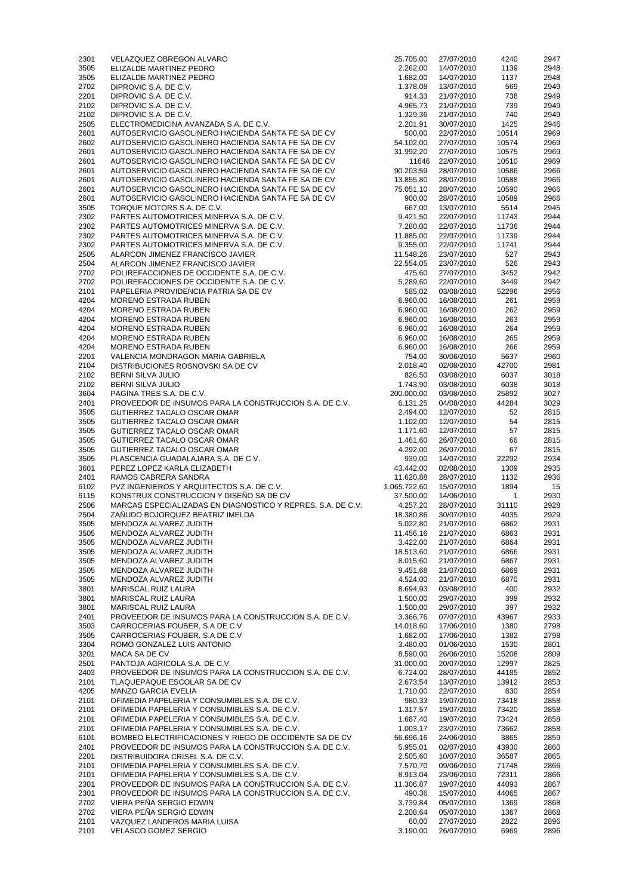| 2301         | VELAZQUEZ OBREGON ALVARO                                                                                         | 25.705,00             | 27/07/2010               | 4240           | 2947         |
|--------------|------------------------------------------------------------------------------------------------------------------|-----------------------|--------------------------|----------------|--------------|
| 3505         | ELIZALDE MARTINEZ PEDRO                                                                                          | 2.262,00              | 14/07/2010               | 1139           | 2948         |
| 3505         | ELIZALDE MARTINEZ PEDRO                                                                                          | 1.682,00              | 14/07/2010               | 1137           | 2948         |
| 2702         | DIPROVIC S.A. DE C.V.                                                                                            | 1.378,08              | 13/07/2010               | 569            | 2949         |
| 2201         | DIPROVIC S.A. DE C.V.                                                                                            | 914,33                | 21/07/2010               | 738            | 2949         |
| 2102<br>2102 | DIPROVIC S.A. DE C.V.<br>DIPROVIC S.A. DE C.V.                                                                   | 4.965,73<br>1.329,36  | 21/07/2010<br>21/07/2010 | 739<br>740     | 2949<br>2949 |
| 2505         | ELECTROMEDICINA AVANZADA S.A. DE C.V.                                                                            | 2.201,91              | 30/07/2010               | 1425           | 2946         |
| 2601         | AUTOSERVICIO GASOLINERO HACIENDA SANTA FE SA DE CV                                                               | 500,00                | 22/07/2010               | 10514          | 2969         |
| 2602         | AUTOSERVICIO GASOLINERO HACIENDA SANTA FE SA DE CV                                                               | 54.102,00             | 27/07/2010               | 10574          | 2969         |
| 2601         | AUTOSERVICIO GASOLINERO HACIENDA SANTA FE SA DE CV                                                               | 31.992,20             | 27/07/2010               | 10575          | 2969         |
| 2601         | AUTOSERVICIO GASOLINERO HACIENDA SANTA FE SA DE CV                                                               | 11646                 | 22/07/2010               | 10510          | 2969         |
| 2601         | AUTOSERVICIO GASOLINERO HACIENDA SANTA FE SA DE CV                                                               | 90.203,59             | 28/07/2010               | 10586          | 2966         |
| 2601         | AUTOSERVICIO GASOLINERO HACIENDA SANTA FE SA DE CV                                                               | 13.855,80             | 28/07/2010               | 10588          | 2966         |
| 2601         | AUTOSERVICIO GASOLINERO HACIENDA SANTA FE SA DE CV                                                               | 75.051,10             | 28/07/2010               | 10590          | 2966         |
| 2601         | AUTOSERVICIO GASOLINERO HACIENDA SANTA FE SA DE CV                                                               | 900,00                | 28/07/2010               | 10589          | 2966         |
| 3505         | TORQUE MOTORS S.A. DE C.V.                                                                                       | 667,00                | 13/07/2010               | 5514           | 2945         |
| 2302<br>2302 | PARTES AUTOMOTRICES MINERVA S.A. DE C.V.<br>PARTES AUTOMOTRICES MINERVA S.A. DE C.V.                             | 9.421,50<br>7.280,00  | 22/07/2010<br>22/07/2010 | 11743<br>11736 | 2944<br>2944 |
| 2302         | PARTES AUTOMOTRICES MINERVA S.A. DE C.V.                                                                         | 11.885,00             | 22/07/2010               | 11739          | 2944         |
| 2302         | PARTES AUTOMOTRICES MINERVA S.A. DE C.V.                                                                         | 9.355,00              | 22/07/2010               | 11741          | 2944         |
| 2505         | ALARCON JIMENEZ FRANCISCO JAVIER                                                                                 | 11.548,26             | 23/07/2010               | 527            | 2943         |
| 2504         | ALARCON JIMENEZ FRANCISCO JAVIER                                                                                 | 22.554,05             | 23/07/2010               | 526            | 2943         |
| 2702         | POLIREFACCIONES DE OCCIDENTE S.A. DE C.V.                                                                        | 475,60                | 27/07/2010               | 3452           | 2942         |
| 2702         | POLIREFACCIONES DE OCCIDENTE S.A. DE C.V.                                                                        | 5.289,60              | 22/07/2010               | 3449           | 2942         |
| 2101         | PAPELERIA PROVIDENCIA PATRIA SA DE CV                                                                            | 585,02                | 03/08/2010               | 52296          | 2956         |
| 4204         | <b>MORENO ESTRADA RUBEN</b>                                                                                      | 6.960,00              | 16/08/2010               | 261            | 2959         |
| 4204         | MORENO ESTRADA RUBEN                                                                                             | 6.960,00              | 16/08/2010               | 262            | 2959         |
| 4204<br>4204 | <b>MORENO ESTRADA RUBEN</b><br>MORENO ESTRADA RUBEN                                                              | 6.960,00<br>6.960,00  | 16/08/2010<br>16/08/2010 | 263<br>264     | 2959<br>2959 |
| 4204         | <b>MORENO ESTRADA RUBEN</b>                                                                                      | 6.960,00              | 16/08/2010               | 265            | 2959         |
| 4204         | <b>MORENO ESTRADA RUBEN</b>                                                                                      | 6.960,00              | 16/08/2010               | 266            | 2959         |
| 2201         | VALENCIA MONDRAGON MARIA GABRIELA                                                                                | 754,00                | 30/06/2010               | 5637           | 2960         |
| 2104         | DISTRIBUCIONES ROSNOVSKI SA DE CV                                                                                | 2.018,40              | 02/08/2010               | 42700          | 2981         |
| 2102         | <b>BERNI SILVA JULIO</b>                                                                                         | 826,50                | 03/08/2010               | 6037           | 3018         |
| 2102         | <b>BERNI SILVA JULIO</b>                                                                                         | 1.743,90              | 03/08/2010               | 6038           | 3018         |
| 3604         | PAGINA TRES S.A. DE C.V.                                                                                         | 200.000,00            | 03/08/2010               | 25892          | 3027         |
| 2401         | PROVEEDOR DE INSUMOS PARA LA CONSTRUCCION S.A. DE C.V.                                                           | 6.131,25              | 04/08/2010               | 44284          | 3029         |
| 3505         | GUTIERREZ TACALO OSCAR OMAR                                                                                      | 2.494,00              | 12/07/2010               | 52             | 2815         |
| 3505         | GUTIERREZ TACALO OSCAR OMAR                                                                                      | 1.102,00              | 12/07/2010               | 54             | 2815         |
| 3505<br>3505 | GUTIERREZ TACALO OSCAR OMAR<br>GUTIERREZ TACALO OSCAR OMAR                                                       | 1.171,60<br>1.461,60  | 12/07/2010<br>26/07/2010 | 57<br>66       | 2815<br>2815 |
| 3505         | GUTIERREZ TACALO OSCAR OMAR                                                                                      | 4.292,00              | 26/07/2010               | 67             | 2815         |
| 3505         | PLASCENCIA GUADALAJARA S.A. DE C.V.                                                                              | 939,00                | 14/07/2010               | 22292          | 2934         |
| 3601         | PEREZ LOPEZ KARLA ELIZABETH                                                                                      | 43.442,00             | 02/08/2010               | 1309           | 2935         |
| 2401         | RAMOS CABRERA SANDRA                                                                                             | 11.620,88             | 28/07/2010               | 1132           | 2936         |
| 6102         | PVZ INGENIEROS Y ARQUITECTOS S.A. DE C.V.                                                                        | 1.065.722,60          | 15/07/2010               | 1894           | 15           |
| 6115         | KONSTRUX CONSTRUCCION Y DISEÑO SA DE CV                                                                          | 37.500,00             | 14/06/2010               | $\mathbf{1}$   | 2930         |
| 2506         | MARCAS ESPECIALIZADAS EN DIAGNOSTICO Y REPRES. S.A. DE C.V.                                                      | 4.257,20              | 28/07/2010               | 31110          | 2928         |
| 2504         | ZAÑUDO BOJORQUEZ BEATRIZ IMELDA                                                                                  | 18.380,86             | 30/07/2010               | 4035           | 2929         |
| 3505         | MENDOZA ALVAREZ JUDITH                                                                                           | 5.022,80              | 21/07/2010               | 6862           | 2931         |
| 3505<br>3505 | MENDOZA ALVAREZ JUDITH<br>MENDOZA ALVAREZ JUDITH                                                                 | 11.456,16<br>3.422,00 | 21/07/2010<br>21/07/2010 | 6863<br>6864   | 2931<br>2931 |
| 3505         | MENDOZA ALVAREZ JUDITH                                                                                           | 18.513,60             | 21/07/2010               | 6866           | 2931         |
| 3505         | MENDOZA ALVAREZ JUDITH                                                                                           | 8.015,60              | 21/07/2010               | 6867           | 2931         |
| 3505         | MENDOZA ALVAREZ JUDITH                                                                                           | 9.451,68              | 21/07/2010               | 6869           | 2931         |
| 3505         | MENDOZA ALVAREZ JUDITH                                                                                           | 4.524,00              | 21/07/2010               | 6870           | 2931         |
| 3801         | <b>MARISCAL RUIZ LAURA</b>                                                                                       | 8.694,93              | 03/08/2010               | 400            | 2932         |
| 3801         | <b>MARISCAL RUIZ LAURA</b>                                                                                       | 1.500,00              | 29/07/2010               | 398            | 2932         |
| 3801         | <b>MARISCAL RUIZ LAURA</b>                                                                                       | 1.500,00              | 29/07/2010               | 397            | 2932         |
| 2401         | PROVEEDOR DE INSUMOS PARA LA CONSTRUCCION S.A. DE C.V.                                                           | 3.366,76              | 07/07/2010               | 43967          | 2933         |
| 3503<br>3505 | CARROCERIAS FOUBER, S.A DE C.V<br>CARROCERIAS FOUBER, S.A DE C.V                                                 | 14.018,60             | 17/06/2010<br>17/06/2010 | 1380<br>1382   | 2798<br>2798 |
| 3304         | ROMO GONZALEZ LUIS ANTONIO                                                                                       | 1.682,00<br>3.480,00  | 01/06/2010               | 1530           | 2801         |
| 3201         | <b>MACA SA DE CV</b>                                                                                             | 8.590,00              | 26/06/2010               | 15208          | 2809         |
| 2501         | PANTOJA AGRICOLA S.A. DE C.V.                                                                                    | 31.000,00             | 20/07/2010               | 12997          | 2825         |
| 2403         | PROVEEDOR DE INSUMOS PARA LA CONSTRUCCION S.A. DE C.V.                                                           | 6.724,00              | 28/07/2010               | 44185          | 2852         |
| 2101         | TLAQUEPAQUE ESCOLAR SA DE CV                                                                                     | 2.673,54              | 13/07/2010               | 13912          | 2853         |
| 4205         | <b>MANZO GARCIA EVELIA</b>                                                                                       | 1.710,00              | 22/07/2010               | 830            | 2854         |
| 2101         | OFIMEDIA PAPELERIA Y CONSUMIBLES S.A. DE C.V.                                                                    | 980,33                | 19/07/2010               | 73418          | 2858         |
| 2101         | OFIMEDIA PAPELERIA Y CONSUMIBLES S.A. DE C.V.                                                                    | 1.317,57              | 19/07/2010               | 73420          | 2858         |
| 2101         | OFIMEDIA PAPELERIA Y CONSUMIBLES S.A. DE C.V.                                                                    | 1.687,40              | 19/07/2010               | 73424          | 2858         |
| 2101         | OFIMEDIA PAPELERIA Y CONSUMIBLES S.A. DE C.V.                                                                    | 1.003,17              | 23/07/2010               | 73662          | 2858         |
| 6101<br>2401 | BOMBEO ELECTRIFICACIONES Y RIEGO DE OCCIDENTE SA DE CV<br>PROVEEDOR DE INSUMOS PARA LA CONSTRUCCION S.A. DE C.V. | 56.696,16<br>5.955,01 | 24/06/2010<br>02/07/2010 | 3865<br>43930  | 2859<br>2860 |
| 2201         | DISTRIBUIDORA CRISEL S.A. DE C.V.                                                                                | 2.505,60              | 10/07/2010               | 36587          | 2865         |
| 2101         | OFIMEDIA PAPELERIA Y CONSUMIBLES S.A. DE C.V.                                                                    | 7.570,70              | 09/06/2010               | 71748          | 2866         |
| 2101         | OFIMEDIA PAPELERIA Y CONSUMIBLES S.A. DE C.V.                                                                    | 8.913,04              | 23/06/2010               | 72311          | 2866         |
| 2301         | PROVEEDOR DE INSUMOS PARA LA CONSTRUCCION S.A. DE C.V.                                                           | 11.306,87             | 19/07/2010               | 44093          | 2867         |
| 2301         | PROVEEDOR DE INSUMOS PARA LA CONSTRUCCION S.A. DE C.V.                                                           | 490,36                | 15/07/2010               | 44065          | 2867         |
| 2702         | VIERA PEÑA SERGIO EDWIN                                                                                          | 3.739,84              | 05/07/2010               | 1369           | 2868         |
| 2702         | VIERA PEÑA SERGIO EDWIN                                                                                          | 2.208,64              | 05/07/2010               | 1367           | 2868         |
| 2101         | VAZQUEZ LANDEROS MARIA LUISA<br><b>VELASCO GOMEZ SERGIO</b>                                                      | 60,00<br>3.190,00     | 27/07/2010               | 2822           | 2896         |
| 2101         |                                                                                                                  |                       | 26/07/2010               | 6969           | 2896         |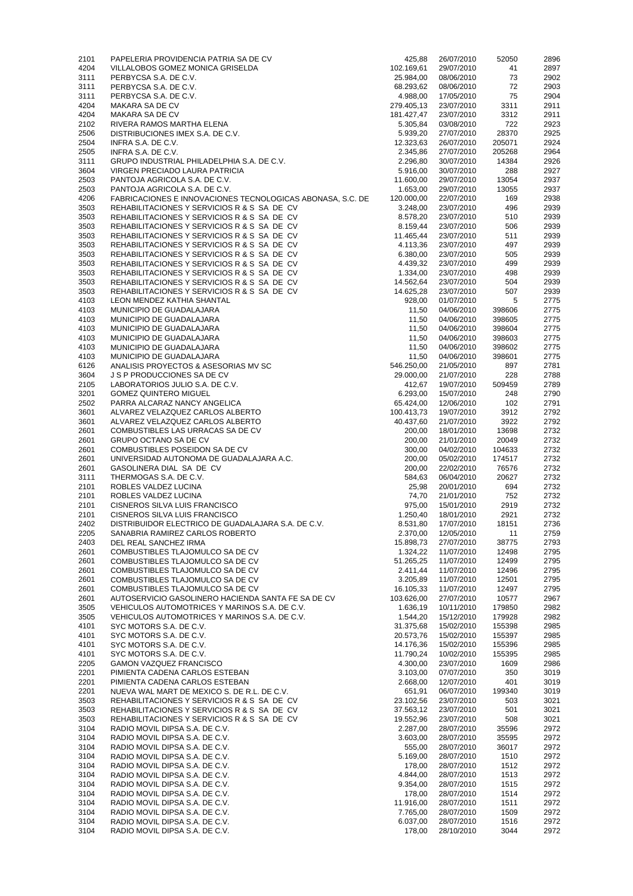| 4204         | PAPELERIA PROVIDENCIA PATRIA SA DE CV                            | 425,88                | 26/07/2010               | 52050        | 2896         |
|--------------|------------------------------------------------------------------|-----------------------|--------------------------|--------------|--------------|
|              | VILLALOBOS GOMEZ MONICA GRISELDA                                 | 102.169,61            | 29/07/2010               | 41           | 2897         |
| 3111         | PERBYCSA S.A. DE C.V.                                            | 25.984,00             | 08/06/2010               | 73           | 2902         |
| 3111         | PERBYCSA S.A. DE C.V.                                            | 68.293,62             | 08/06/2010               | 72           | 2903         |
| 3111         | PERBYCSA S.A. DE C.V.                                            | 4.988,00              | 17/05/2010               | 75           | 2904         |
| 4204         | MAKARA SA DE CV                                                  | 279.405,13            | 23/07/2010               | 3311         | 2911         |
| 4204         | <b>MAKARA SA DE CV</b>                                           | 181.427,47            | 23/07/2010               | 3312         | 2911         |
| 2102         | RIVERA RAMOS MARTHA ELENA                                        | 5.305,84              | 03/08/2010               | 722          | 2923         |
| 2506         | DISTRIBUCIONES IMEX S.A. DE C.V.                                 | 5.939,20              | 27/07/2010               | 28370        | 2925         |
| 2504         | INFRA S.A. DE C.V.                                               | 12.323,63             | 26/07/2010               | 205071       | 2924         |
| 2505         | INFRA S.A. DE C.V.                                               | 2.345,86              | 27/07/2010               | 205268       | 2964         |
| 3111         | GRUPO INDUSTRIAL PHILADELPHIA S.A. DE C.V.                       | 2.296,80              | 30/07/2010               | 14384        | 2926         |
| 3604         | VIRGEN PRECIADO LAURA PATRICIA                                   | 5.916,00              | 30/07/2010               | 288          | 2927         |
| 2503         | PANTOJA AGRICOLA S.A. DE C.V.                                    | 11.600,00             | 29/07/2010               | 13054        | 2937         |
| 2503         | PANTOJA AGRICOLA S.A. DE C.V.                                    | 1.653,00              | 29/07/2010               | 13055        | 2937         |
| 4206         | FABRICACIONES E INNOVACIONES TECNOLOGICAS ABONASA, S.C. DE       | 120.000,00            | 22/07/2010               | 169          | 2938         |
| 3503         | REHABILITACIONES Y SERVICIOS R & S SA DE CV                      | 3.248,00              | 23/07/2010               | 496          | 2939         |
| 3503         | REHABILITACIONES Y SERVICIOS R & S SA DE CV                      | 8.578,20              | 23/07/2010               | 510          | 2939         |
| 3503         | REHABILITACIONES Y SERVICIOS R & S SA DE CV                      | 8.159,44              | 23/07/2010               | 506          | 2939         |
| 3503         | REHABILITACIONES Y SERVICIOS R & S SA DE CV                      | 11.465,44             | 23/07/2010               | 511          | 2939         |
| 3503         | REHABILITACIONES Y SERVICIOS R & S SA DE CV                      | 4.113,36              | 23/07/2010               | 497          | 2939         |
| 3503         | REHABILITACIONES Y SERVICIOS R & S SA DE CV                      | 6.380,00              | 23/07/2010               | 505          | 2939         |
| 3503         | REHABILITACIONES Y SERVICIOS R & S SA DE CV                      | 4.439,32              | 23/07/2010               | 499          | 2939         |
| 3503         | REHABILITACIONES Y SERVICIOS R & S SA DE CV                      | 1.334,00              | 23/07/2010               | 498          | 2939         |
| 3503         | REHABILITACIONES Y SERVICIOS R & S SA DE CV                      | 14.562,64             | 23/07/2010               | 504          | 2939         |
| 3503         | REHABILITACIONES Y SERVICIOS R & S SA DE CV                      | 14.625,28             | 23/07/2010               | 507          | 2939         |
| 4103         | LEON MENDEZ KATHIA SHANTAL                                       | 928,00                | 01/07/2010               | 5            | 2775         |
| 4103         | MUNICIPIO DE GUADALAJARA                                         | 11,50                 | 04/06/2010               | 398606       | 2775         |
| 4103         | MUNICIPIO DE GUADALAJARA                                         | 11,50                 | 04/06/2010               | 398605       | 2775         |
| 4103         | MUNICIPIO DE GUADALAJARA                                         | 11,50                 | 04/06/2010               | 398604       | 2775         |
| 4103         | MUNICIPIO DE GUADALAJARA                                         | 11,50                 | 04/06/2010               | 398603       | 2775         |
| 4103         | MUNICIPIO DE GUADALAJARA                                         | 11,50                 | 04/06/2010               | 398602       | 2775         |
| 4103         | MUNICIPIO DE GUADALAJARA                                         | 11,50                 | 04/06/2010               | 398601       | 2775         |
| 6126         | ANALISIS PROYECTOS & ASESORIAS MV SC                             | 546.250,00            | 21/05/2010               | 897          | 2781         |
| 3604         |                                                                  | 29.000,00             | 21/07/2010               | 228          | 2788         |
| 2105         | J S P PRODUCCIONES SA DE CV<br>LABORATORIOS JULIO S.A. DE C.V.   | 412,67                | 19/07/2010               | 509459       | 2789         |
|              |                                                                  |                       |                          |              |              |
| 3201         | <b>GOMEZ QUINTERO MIGUEL</b>                                     | 6.293,00              | 15/07/2010               | 248          | 2790         |
| 2502         | PARRA ALCARAZ NANCY ANGELICA                                     | 65.424,00             | 12/06/2010               | 102          | 2791         |
| 3601         | ALVAREZ VELAZQUEZ CARLOS ALBERTO                                 | 100.413,73            | 19/07/2010               | 3912         | 2792         |
| 3601         | ALVAREZ VELAZQUEZ CARLOS ALBERTO                                 | 40.437,60             | 21/07/2010               | 3922         | 2792         |
| 2601         | COMBUSTIBLES LAS URRACAS SA DE CV                                | 200,00                | 18/01/2010               | 13698        | 2732         |
| 2601         | <b>GRUPO OCTANO SA DE CV</b>                                     | 200,00                | 21/01/2010               | 20049        | 2732         |
| 2601         | COMBUSTIBLES POSEIDON SA DE CV                                   | 300,00                | 04/02/2010               | 104633       | 2732         |
| 2601         | UNIVERSIDAD AUTONOMA DE GUADALAJARA A.C.                         | 200,00                | 05/02/2010               | 174517       | 2732         |
| 2601         | GASOLINERA DIAL SA DE CV                                         | 200,00                | 22/02/2010               | 76576        | 2732         |
| 3111         | THERMOGAS S.A. DE C.V.                                           | 584,63                | 06/04/2010               | 20627        | 2732         |
| 2101         | ROBLES VALDEZ LUCINA                                             | 25,98                 | 20/01/2010               | 694          | 2732         |
| 2101         | ROBLES VALDEZ LUCINA                                             | 74,70                 | 21/01/2010               | 752          | 2732         |
| 2101         | CISNEROS SILVA LUIS FRANCISCO                                    | 975,00                | 15/01/2010               | 2919         | 2732         |
| 2101         | <b>CISNEROS SILVA LUIS FRANCISCO</b>                             | 1.250,40              | 18/01/2010               | 2921         | 2732         |
| 2402         | DISTRIBUIDOR ELECTRICO DE GUADALAJARA S.A. DE C.V.               | 8.531,80              | 17/07/2010               | 18151        | 2736         |
| 2205         | SANABRIA RAMIREZ CARLOS ROBERTO                                  | 2.370,00              | 12/05/2010               | 11           | 2759         |
| 2403         | DEL REAL SANCHEZ IRMA                                            | 15.898,73             | 27/07/2010               |              |              |
| 2601         | COMBUSTIBLES TLAJOMULCO SA DE CV                                 |                       |                          | 38775        | 2793         |
|              |                                                                  | 1.324,22              | 11/07/2010               | 12498        | 2795         |
| 2601         | COMBUSTIBLES TLAJOMULCO SA DE CV                                 | 51.265,25             | 11/07/2010               | 12499        | 2795         |
| 2601         | COMBUSTIBLES TLAJOMULCO SA DE CV                                 | 2.411,44              | 11/07/2010               | 12496        | 2795         |
| 2601         | COMBUSTIBLES TLAJOMULCO SA DE CV                                 | 3.205,89              | 11/07/2010               | 12501        | 2795         |
| 2601         | COMBUSTIBLES TLAJOMULCO SA DE CV                                 | 16.105,33             | 11/07/2010               | 12497        | 2795         |
| 2601         | AUTOSERVICIO GASOLINERO HACIENDA SANTA FE SA DE CV               | 103.626,00            | 27/07/2010               | 10577        | 2967         |
| 3505         | VEHICULOS AUTOMOTRICES Y MARINOS S.A. DE C.V.                    | 1.636,19              | 10/11/2010               | 179850       | 2982         |
| 3505         | VEHICULOS AUTOMOTRICES Y MARINOS S.A. DE C.V.                    | 1.544,20              | 15/12/2010               | 179928       | 2982         |
| 4101         | SYC MOTORS S.A. DE C.V.                                          | 31.375,68             | 15/02/2010               | 155398       | 2985         |
| 4101         | SYC MOTORS S.A. DE C.V.                                          | 20.573,76             | 15/02/2010               | 155397       | 2985         |
| 4101         | SYC MOTORS S.A. DE C.V.                                          | 14.176,36             | 15/02/2010               | 155396       | 2985         |
| 4101         | SYC MOTORS S.A. DE C.V.                                          | 11.790,24             | 10/02/2010               | 155395       | 2985         |
| 2205         | <b>GAMON VAZQUEZ FRANCISCO</b>                                   | 4.300,00              | 23/07/2010               | 1609         | 2986         |
| 2201         | PIMIENTA CADENA CARLOS ESTEBAN                                   | 3.103,00              | 07/07/2010               | 350          | 3019         |
| 2201         | PIMIENTA CADENA CARLOS ESTEBAN                                   | 2.668,00              | 12/07/2010               | 401          | 3019         |
| 2201         | NUEVA WAL MART DE MEXICO S. DE R.L. DE C.V.                      | 651,91                | 06/07/2010               | 199340       | 3019         |
| 3503         | REHABILITACIONES Y SERVICIOS R & S SA DE CV                      | 23.102,56             | 23/07/2010               | 503          | 3021         |
| 3503         | REHABILITACIONES Y SERVICIOS R & S SA DE CV                      | 37.563,12             | 23/07/2010               | 501          | 3021         |
| 3503         | REHABILITACIONES Y SERVICIOS R & S SA DE CV                      | 19.552,96             | 23/07/2010               | 508          | 3021         |
| 3104         | RADIO MOVIL DIPSA S.A. DE C.V.                                   | 2.287,00              | 28/07/2010               | 35596        | 2972         |
| 3104         | RADIO MOVIL DIPSA S.A. DE C.V.                                   | 3.603,00              | 28/07/2010               | 35595        | 2972         |
| 3104         | RADIO MOVIL DIPSA S.A. DE C.V.                                   | 555,00                | 28/07/2010               | 36017        | 2972         |
| 3104         | RADIO MOVIL DIPSA S.A. DE C.V.                                   | 5.169,00              | 28/07/2010               | 1510         | 2972         |
| 3104         | RADIO MOVIL DIPSA S.A. DE C.V.                                   | 178,00                | 28/07/2010               | 1512         | 2972         |
|              |                                                                  |                       |                          |              |              |
| 3104         | RADIO MOVIL DIPSA S.A. DE C.V.                                   | 4.844,00              | 28/07/2010<br>28/07/2010 | 1513         | 2972         |
| 3104<br>3104 | RADIO MOVIL DIPSA S.A. DE C.V.<br>RADIO MOVIL DIPSA S.A. DE C.V. | 9.354,00<br>178,00    | 28/07/2010               | 1515<br>1514 | 2972<br>2972 |
|              | RADIO MOVIL DIPSA S.A. DE C.V.                                   |                       | 28/07/2010               |              |              |
| 3104         |                                                                  | 11.916,00<br>7.765,00 | 28/07/2010               | 1511<br>1509 | 2972         |
| 3104<br>3104 | RADIO MOVIL DIPSA S.A. DE C.V.<br>RADIO MOVIL DIPSA S.A. DE C.V. | 6.037,00              | 28/07/2010               | 1516         | 2972<br>2972 |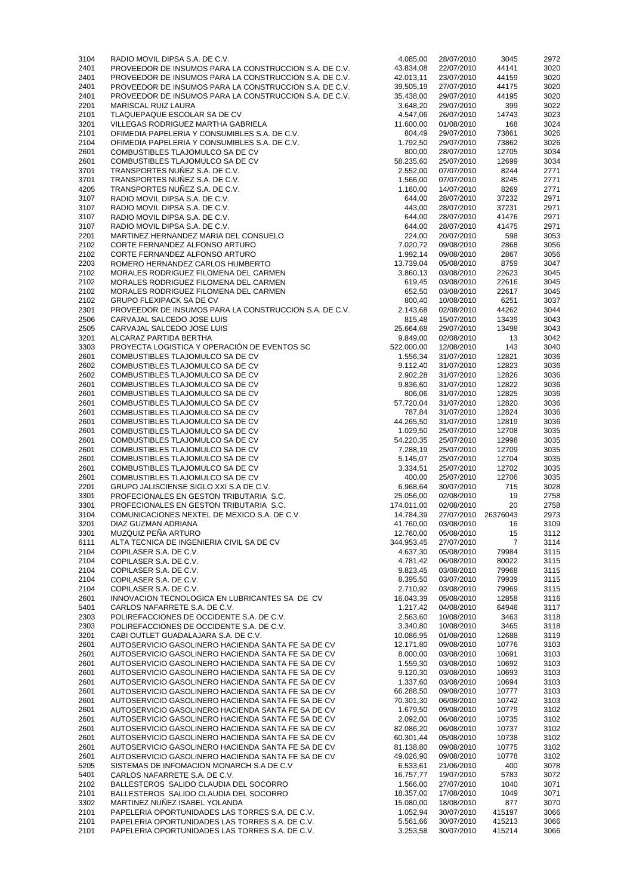| 3104         | RADIO MOVIL DIPSA S.A. DE C.V.                                                                     | 4.085,00             | 28/07/2010               | 3045             | 2972         |
|--------------|----------------------------------------------------------------------------------------------------|----------------------|--------------------------|------------------|--------------|
| 2401         | PROVEEDOR DE INSUMOS PARA LA CONSTRUCCION S.A. DE C.V.                                             | 43.834,08            | 22/07/2010               | 44141            | 3020         |
| 2401         | PROVEEDOR DE INSUMOS PARA LA CONSTRUCCION S.A. DE C.V.                                             | 42.013,11            | 23/07/2010               | 44159            | 3020         |
| 2401         | PROVEEDOR DE INSUMOS PARA LA CONSTRUCCION S.A. DE C.V.                                             | 39.505,19            | 27/07/2010               | 44175            | 3020         |
| 2401         | PROVEEDOR DE INSUMOS PARA LA CONSTRUCCION S.A. DE C.V.                                             | 35.438,00            | 29/07/2010               | 44195            | 3020         |
| 2201         | <b>MARISCAL RUIZ LAURA</b>                                                                         | 3.648,20             | 29/07/2010               | 399              | 3022         |
| 2101         | TLAQUEPAQUE ESCOLAR SA DE CV                                                                       | 4.547,06             | 26/07/2010               | 14743            | 3023         |
| 3201         | VILLEGAS RODRIGUEZ MARTHA GABRIELA                                                                 | 11.600,00            | 01/08/2010               | 168              | 3024         |
| 2101         | OFIMEDIA PAPELERIA Y CONSUMIBLES S.A. DE C.V.                                                      | 804,49               | 29/07/2010               | 73861            | 3026         |
| 2104         | OFIMEDIA PAPELERIA Y CONSUMIBLES S.A. DE C.V.                                                      | 1.792,50             | 29/07/2010               | 73862            | 3026         |
| 2601         | COMBUSTIBLES TLAJOMULCO SA DE CV                                                                   | 800,00               | 28/07/2010               | 12705            | 3034         |
| 2601         | COMBUSTIBLES TLAJOMULCO SA DE CV                                                                   | 58.235,60            | 25/07/2010               | 12699            | 3034         |
| 3701         | TRANSPORTES NUÑEZ S.A. DE C.V.                                                                     | 2.552,00             | 07/07/2010               | 8244             | 2771         |
| 3701         | TRANSPORTES NUÑEZ S.A. DE C.V.                                                                     | 1.566,00             |                          | 8245             | 2771         |
|              |                                                                                                    |                      | 07/07/2010               |                  |              |
| 4205         | TRANSPORTES NUÑEZ S.A. DE C.V.                                                                     | 1.160,00             | 14/07/2010               | 8269             | 2771         |
| 3107         | RADIO MOVIL DIPSA S.A. DE C.V.                                                                     | 644,00               | 28/07/2010               | 37232            | 2971         |
| 3107         | RADIO MOVIL DIPSA S.A. DE C.V.                                                                     | 443,00               | 28/07/2010               | 37231            | 2971         |
| 3107         | RADIO MOVIL DIPSA S.A. DE C.V.                                                                     | 644,00               | 28/07/2010               | 41476            | 2971         |
| 3107         | RADIO MOVIL DIPSA S.A. DE C.V.                                                                     | 644,00               | 28/07/2010               | 41475            | 2971         |
| 2201         | MARTINEZ HERNANDEZ MARIA DEL CONSUELO                                                              | 224,00               | 20/07/2010               | 598              | 3053         |
| 2102         | CORTE FERNANDEZ ALFONSO ARTURO                                                                     | 7.020,72             | 09/08/2010               | 2868             | 3056         |
| 2102         | CORTE FERNANDEZ ALFONSO ARTURO                                                                     | 1.992,14             | 09/08/2010               | 2867             | 3056         |
| 2203         | ROMERO HERNANDEZ CARLOS HUMBERTO                                                                   | 13.739,04            | 05/08/2010               | 8759             | 3047         |
| 2102         | MORALES RODRIGUEZ FILOMENA DEL CARMEN                                                              | 3.860,13             | 03/08/2010               | 22623            | 3045         |
| 2102         | MORALES RODRIGUEZ FILOMENA DEL CARMEN                                                              | 619,45               | 03/08/2010               | 22616            | 3045         |
| 2102         | MORALES RODRIGUEZ FILOMENA DEL CARMEN                                                              | 652,50               | 03/08/2010               | 22617            | 3045         |
| 2102         | <b>GRUPO FLEXIPACK SA DE CV</b>                                                                    | 800,40               | 10/08/2010               | 6251             | 3037         |
| 2301         | PROVEEDOR DE INSUMOS PARA LA CONSTRUCCION S.A. DE C.V.                                             | 2.143,68             | 02/08/2010               | 44262            | 3044         |
| 2506         | CARVAJAL SALCEDO JOSE LUIS                                                                         | 815,48               | 15/07/2010               | 13439            | 3043         |
| 2505         | CARVAJAL SALCEDO JOSE LUIS                                                                         | 25.664,68            | 29/07/2010               | 13498            | 3043         |
| 3201         | ALCARAZ PARTIDA BERTHA                                                                             | 9.849,00             | 02/08/2010               | 13               | 3042         |
| 3303         | PROYECTA LOGISTICA Y OPERACIÓN DE EVENTOS SC                                                       | 522.000,00           | 12/08/2010               | 143              | 3040         |
| 2601         | COMBUSTIBLES TLAJOMULCO SA DE CV                                                                   | 1.556,34             | 31/07/2010               | 12821            | 3036         |
| 2602         | COMBUSTIBLES TLAJOMULCO SA DE CV                                                                   | 9.112,40             | 31/07/2010               | 12823            | 3036         |
| 2602         | COMBUSTIBLES TLAJOMULCO SA DE CV                                                                   |                      | 31/07/2010               | 12826            | 3036         |
|              |                                                                                                    | 2.902,28             |                          |                  |              |
| 2601         | COMBUSTIBLES TLAJOMULCO SA DE CV                                                                   | 9.836,60             | 31/07/2010               | 12822            | 3036         |
| 2601         | COMBUSTIBLES TLAJOMULCO SA DE CV                                                                   | 806,06               | 31/07/2010               | 12825            | 3036         |
| 2601         | COMBUSTIBLES TLAJOMULCO SA DE CV                                                                   | 57.720,04            | 31/07/2010               | 12820            | 3036         |
| 2601         | COMBUSTIBLES TLAJOMULCO SA DE CV                                                                   | 787,84               | 31/07/2010               | 12824            | 3036         |
| 2601         | COMBUSTIBLES TLAJOMULCO SA DE CV                                                                   | 44.265,50            | 31/07/2010               | 12819            | 3036         |
| 2601         | COMBUSTIBLES TLAJOMULCO SA DE CV                                                                   | 1.029,50             | 25/07/2010               | 12708            | 3035         |
| 2601         | COMBUSTIBLES TLAJOMULCO SA DE CV                                                                   | 54.220,35            | 25/07/2010               | 12998            | 3035         |
| 2601         | COMBUSTIBLES TLAJOMULCO SA DE CV                                                                   | 7.288,19             | 25/07/2010               | 12709            | 3035         |
| 2601         | COMBUSTIBLES TLAJOMULCO SA DE CV                                                                   | 5.145,07             | 25/07/2010               | 12704            | 3035         |
| 2601         | COMBUSTIBLES TLAJOMULCO SA DE CV                                                                   | 3.334,51             | 25/07/2010               | 12702            | 3035         |
| 2601         | COMBUSTIBLES TLAJOMULCO SA DE CV                                                                   | 400,00               | 25/07/2010               | 12706            | 3035         |
| 2201         | GRUPO JALISCIENSE SIGLO XXI S.A DE C.V.                                                            | 6.968,64             | 30/07/2010               | 715              | 3028         |
| 3301         | PROFECIONALES EN GESTON TRIBUTARIA S.C.                                                            | 25.056,00            | 02/08/2010               | 19               | 2758         |
| 3301         | PROFECIONALES EN GESTON TRIBUTARIA S.C.                                                            | 174.011,00           | 02/08/2010               | 20               | 2758         |
| 3104         | COMUNICACIONES NEXTEL DE MEXICO S.A. DE C.V.                                                       | 14.784,39            | 27/07/2010               | 26376043         | 2973         |
| 3201         | DIAZ GUZMAN ADRIANA                                                                                | 41.760,00            | 03/08/2010               | 16               | 3109         |
| 3301         | MUZQUIZ PEÑA ARTURO                                                                                | 12.760,00            | 05/08/2010               | 15               | 3112         |
| 6111         | ALTA TECNICA DE INGENIERIA CIVIL SA DE CV                                                          | 344.953,45           | 27/07/2010               | $\overline{7}$   | 3114         |
| 2104         | COPILASER S.A. DE C.V.                                                                             | 4.637,30             | 05/08/2010               | 79984            | 3115         |
| 2104         | COPILASER S.A. DE C.V.                                                                             | 4.781,42             | 06/08/2010               | 80022            | 3115         |
| 2104         |                                                                                                    |                      | 03/08/2010               | 79968            | 3115         |
|              | COPILASER S.A. DE C.V.                                                                             | 9.823,45             |                          |                  |              |
| 2104         | COPILASER S.A. DE C.V.                                                                             | 8.395,50             | 03/07/2010               | 79939            | 3115         |
| 2104         | COPILASER S.A. DE C.V.                                                                             | 2.710,92             | 03/08/2010               | 79969            | 3115         |
| 2601         | INNOVACION TECNOLOGICA EN LUBRICANTES SA DE CV                                                     | 16.043,39            | 05/08/2010               | 12858            | 3116         |
| 5401         | CARLOS NAFARRETE S.A. DE C.V.                                                                      | 1.217,42             | 04/08/2010               | 64946            | 3117         |
| 2303         | POLIREFACCIONES DE OCCIDENTE S.A. DE C.V.                                                          | 2.563,60             | 10/08/2010               | 3463             | 3118         |
| 2303         | POLIREFACCIONES DE OCCIDENTE S.A. DE C.V.                                                          | 3.340,80             | 10/08/2010               | 3465             | 3118         |
| 3201         | CABI OUTLET GUADALAJARA S.A. DE C.V.                                                               | 10.086,95            | 01/08/2010               | 12688            | 3119         |
| 2601         | AUTOSERVICIO GASOLINERO HACIENDA SANTA FE SA DE CV                                                 | 12.171,80            | 09/08/2010               | 10776            | 3103         |
| 2601         | AUTOSERVICIO GASOLINERO HACIENDA SANTA FE SA DE CV                                                 | 8.000,00             | 03/08/2010               | 10691            | 3103         |
| 2601         | AUTOSERVICIO GASOLINERO HACIENDA SANTA FE SA DE CV                                                 | 1.559,30             | 03/08/2010               | 10692            | 3103         |
| 2601         | AUTOSERVICIO GASOLINERO HACIENDA SANTA FE SA DE CV                                                 | 9.120,30             | 03/08/2010               | 10693            | 3103         |
| 2601         | AUTOSERVICIO GASOLINERO HACIENDA SANTA FE SA DE CV                                                 | 1.337,60             | 03/08/2010               | 10694            | 3103         |
| 2601         | AUTOSERVICIO GASOLINERO HACIENDA SANTA FE SA DE CV                                                 | 66.288,50            | 09/08/2010               | 10777            | 3103         |
| 2601         | AUTOSERVICIO GASOLINERO HACIENDA SANTA FE SA DE CV                                                 | 70.301,30            | 06/08/2010               | 10742            | 3103         |
| 2601         | AUTOSERVICIO GASOLINERO HACIENDA SANTA FE SA DE CV                                                 | 1.679,50             | 09/08/2010               | 10779            | 3102         |
| 2601         | AUTOSERVICIO GASOLINERO HACIENDA SANTA FE SA DE CV                                                 | 2.092,00             | 06/08/2010               | 10735            | 3102         |
| 2601         | AUTOSERVICIO GASOLINERO HACIENDA SANTA FE SA DE CV                                                 | 82.086,20            | 06/08/2010               | 10737            | 3102         |
| 2601         | AUTOSERVICIO GASOLINERO HACIENDA SANTA FE SA DE CV                                                 | 60.301,44            | 05/08/2010               | 10738            | 3102         |
| 2601         | AUTOSERVICIO GASOLINERO HACIENDA SANTA FE SA DE CV                                                 | 81.138,80            | 09/08/2010               | 10775            | 3102         |
| 2601         | AUTOSERVICIO GASOLINERO HACIENDA SANTA FE SA DE CV                                                 | 49.026,90            | 09/08/2010               | 10778            | 3102         |
| 5205         | SISTEMAS DE INFOMACION MONARCH S.A DE C.V                                                          | 6.533,61             | 21/06/2010               | 400              | 3078         |
| 5401         | CARLOS NAFARRETE S.A. DE C.V.                                                                      | 16.757,77            | 19/07/2010               | 5783             | 3072         |
| 2102         | BALLESTEROS SALIDO CLAUDIA DEL SOCORRO                                                             | 1.566,00             | 27/07/2010               | 1040             | 3071         |
| 2101         |                                                                                                    |                      |                          |                  |              |
|              |                                                                                                    |                      |                          |                  |              |
|              | BALLESTEROS SALIDO CLAUDIA DEL SOCORRO                                                             | 18.357,00            | 17/08/2010               | 1049             | 3071         |
| 3302         | MARTINEZ NUÑEZ ISABEL YOLANDA                                                                      | 15.080,00            | 18/08/2010               | 877              | 3070         |
| 2101         | PAPELERIA OPORTUNIDADES LAS TORRES S.A. DE C.V.                                                    | 1.052,94             | 30/07/2010               | 415197           | 3066         |
| 2101<br>2101 | PAPELERIA OPORTUNIDADES LAS TORRES S.A. DE C.V.<br>PAPELERIA OPORTUNIDADES LAS TORRES S.A. DE C.V. | 5.561,66<br>3.253,58 | 30/07/2010<br>30/07/2010 | 415213<br>415214 | 3066<br>3066 |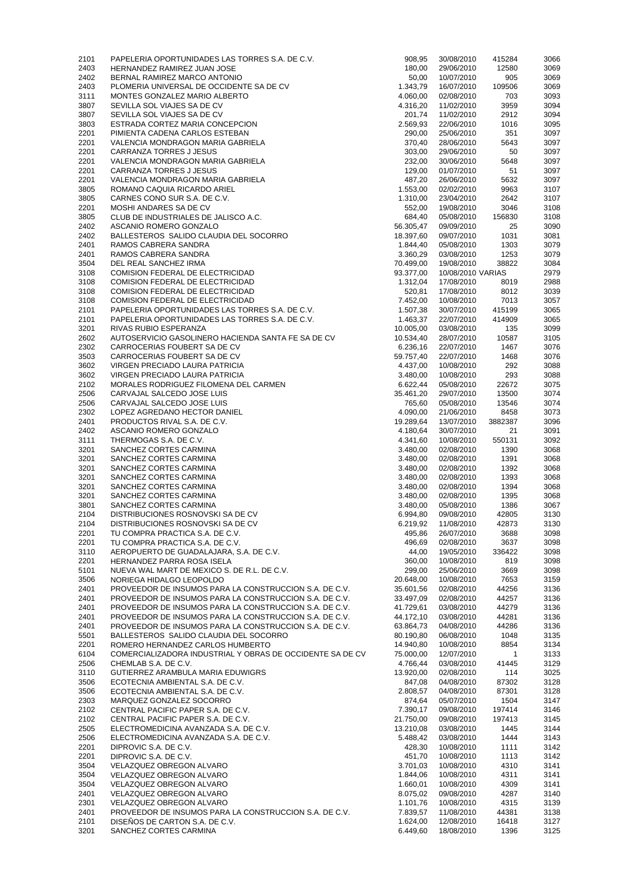| 2101         | PAPELERIA OPORTUNIDADES LAS TORRES S.A. DE C.V.                                            | 908,95                 | 30/08/2010               | 415284           | 3066         |
|--------------|--------------------------------------------------------------------------------------------|------------------------|--------------------------|------------------|--------------|
| 2403         | HERNANDEZ RAMIREZ JUAN JOSE                                                                | 180,00                 | 29/06/2010               | 12580            | 3069         |
| 2402         | BERNAL RAMIREZ MARCO ANTONIO                                                               | 50,00<br>1.343,79      | 10/07/2010               | 905              | 3069         |
| 2403<br>3111 | PLOMERIA UNIVERSAL DE OCCIDENTE SA DE CV<br>MONTES GONZALEZ MARIO ALBERTO                  | 4.060,00               | 16/07/2010<br>02/08/2010 | 109506<br>703    | 3069<br>3093 |
| 3807         | SEVILLA SOL VIAJES SA DE CV                                                                | 4.316,20               | 11/02/2010               | 3959             | 3094         |
| 3807         | SEVILLA SOL VIAJES SA DE CV                                                                | 201,74                 | 11/02/2010               | 2912             | 3094         |
| 3803         | ESTRADA CORTEZ MARIA CONCEPCION                                                            | 2.569,93               | 22/06/2010               | 1016             | 3095         |
| 2201         | PIMIENTA CADENA CARLOS ESTEBAN                                                             | 290,00                 | 25/06/2010               | 351              | 3097         |
| 2201         | VALENCIA MONDRAGON MARIA GABRIELA                                                          | 370,40                 | 28/06/2010               | 5643             | 3097         |
| 2201         | <b>CARRANZA TORRES J JESUS</b>                                                             | 303,00                 | 29/06/2010               | 50               | 3097         |
| 2201<br>2201 | VALENCIA MONDRAGON MARIA GABRIELA<br><b>CARRANZA TORRES J JESUS</b>                        | 232,00<br>129,00       | 30/06/2010<br>01/07/2010 | 5648<br>51       | 3097<br>3097 |
| 2201         | VALENCIA MONDRAGON MARIA GABRIELA                                                          | 487,20                 | 26/06/2010               | 5632             | 3097         |
| 3805         | ROMANO CAQUIA RICARDO ARIEL                                                                | 1.553,00               | 02/02/2010               | 9963             | 3107         |
| 3805         | CARNES CONO SUR S.A. DE C.V.                                                               | 1.310,00               | 23/04/2010               | 2642             | 3107         |
| 2201         | MOSHI ANDARES SA DE CV                                                                     | 552,00                 | 19/08/2010               | 3046             | 3108         |
| 3805         | CLUB DE INDUSTRIALES DE JALISCO A.C.                                                       | 684,40                 | 05/08/2010               | 156830           | 3108         |
| 2402<br>2402 | ASCANIO ROMERO GONZALO<br>BALLESTEROS SALIDO CLAUDIA DEL SOCORRO                           | 56.305,47<br>18.397,60 | 09/09/2010<br>09/07/2010 | 25<br>1031       | 3090<br>3081 |
| 2401         | RAMOS CABRERA SANDRA                                                                       | 1.844,40               | 05/08/2010               | 1303             | 3079         |
| 2401         | RAMOS CABRERA SANDRA                                                                       | 3.360,29               | 03/08/2010               | 1253             | 3079         |
| 3504         | DEL REAL SANCHEZ IRMA                                                                      | 70.499,00              | 19/08/2010               | 38822            | 3084         |
| 3108         | <b>COMISION FEDERAL DE ELECTRICIDAD</b>                                                    | 93.377,00              | 10/08/2010 VARIAS        |                  | 2979         |
| 3108         | <b>COMISION FEDERAL DE ELECTRICIDAD</b>                                                    | 1.312,04               | 17/08/2010               | 8019             | 2988         |
| 3108         | <b>COMISION FEDERAL DE ELECTRICIDAD</b>                                                    | 520,81                 | 17/08/2010               | 8012             | 3039         |
| 3108<br>2101 | <b>COMISION FEDERAL DE ELECTRICIDAD</b><br>PAPELERIA OPORTUNIDADES LAS TORRES S.A. DE C.V. | 7.452,00               | 10/08/2010<br>30/07/2010 | 7013             | 3057<br>3065 |
| 2101         | PAPELERIA OPORTUNIDADES LAS TORRES S.A. DE C.V.                                            | 1.507,38<br>1.463,37   | 22/07/2010               | 415199<br>414909 | 3065         |
| 3201         | RIVAS RUBIO ESPERANZA                                                                      | 10.005,00              | 03/08/2010               | 135              | 3099         |
| 2602         | AUTOSERVICIO GASOLINERO HACIENDA SANTA FE SA DE CV                                         | 10.534,40              | 28/07/2010               | 10587            | 3105         |
| 2302         | CARROCERIAS FOUBERT SA DE CV                                                               | 6.236,16               | 22/07/2010               | 1467             | 3076         |
| 3503         | CARROCERIAS FOUBERT SA DE CV                                                               | 59.757,40              | 22/07/2010               | 1468             | 3076         |
| 3602         | VIRGEN PRECIADO LAURA PATRICIA                                                             | 4.437,00               | 10/08/2010               | 292              | 3088         |
| 3602         | VIRGEN PRECIADO LAURA PATRICIA                                                             | 3.480,00               | 10/08/2010               | 293              | 3088         |
| 2102         | MORALES RODRIGUEZ FILOMENA DEL CARMEN                                                      | 6.622,44               | 05/08/2010               | 22672            | 3075         |
| 2506<br>2506 | CARVAJAL SALCEDO JOSE LUIS<br>CARVAJAL SALCEDO JOSE LUIS                                   | 35.461,20<br>765,60    | 29/07/2010<br>05/08/2010 | 13500<br>13546   | 3074<br>3074 |
| 2302         | LOPEZ AGREDANO HECTOR DANIEL                                                               | 4.090,00               | 21/06/2010               | 8458             | 3073         |
| 2401         | PRODUCTOS RIVAL S.A. DE C.V.                                                               | 19.289,64              | 13/07/2010               | 3882387          | 3096         |
| 2402         | ASCANIO ROMERO GONZALO                                                                     | 4.180,64               | 30/07/2010               | 21               | 3091         |
| 3111         | THERMOGAS S.A. DE C.V.                                                                     | 4.341,60               | 10/08/2010               | 550131           | 3092         |
| 3201         | SANCHEZ CORTES CARMINA                                                                     | 3.480,00               | 02/08/2010               | 1390             | 3068         |
| 3201         | SANCHEZ CORTES CARMINA                                                                     | 3.480,00               | 02/08/2010               | 1391             | 3068         |
| 3201         | SANCHEZ CORTES CARMINA                                                                     | 3.480,00               | 02/08/2010               | 1392             | 3068         |
| 3201         | SANCHEZ CORTES CARMINA                                                                     | 3.480,00               | 02/08/2010               | 1393             | 3068         |
| 3201<br>3201 | SANCHEZ CORTES CARMINA<br>SANCHEZ CORTES CARMINA                                           | 3.480,00<br>3.480,00   | 02/08/2010<br>02/08/2010 | 1394<br>1395     | 3068<br>3068 |
| 3801         | SANCHEZ CORTES CARMINA                                                                     | 3.480,00               | 05/08/2010               | 1386             | 3067         |
| 2104         | DISTRIBUCIONES ROSNOVSKI SA DE CV                                                          | 6.994,80               | 09/08/2010               | 42805            | 3130         |
| 2104         | DISTRIBUCIONES ROSNOVSKI SA DE CV                                                          | 6.219,92               | 11/08/2010               | 42873            | 3130         |
| 2201         | TU COMPRA PRACTICA S.A. DE C.V.                                                            | 495,86                 | 26/07/2010               | 3688             | 3098         |
| 2201         | TU COMPRA PRACTICA S.A. DE C.V.                                                            | 496,69                 | 02/08/2010               | 3637             | 3098         |
| 3110         | AEROPUERTO DE GUADALAJARA, S.A. DE C.V.                                                    | 44,00                  | 19/05/2010               | 336422           | 3098         |
| 2201         | HERNANDEZ PARRA ROSA ISELA                                                                 | 360,00                 | 10/08/2010               | 819              | 3098         |
| 5101         | NUEVA WAL MART DE MEXICO S. DE R.L. DE C.V.                                                | 299,00                 | 25/06/2010               | 3669             | 3098         |
| 3506<br>2401 | NORIEGA HIDALGO LEOPOLDO<br>PROVEEDOR DE INSUMOS PARA LA CONSTRUCCION S.A. DE C.V.         | 20.648,00<br>35.601,56 | 10/08/2010<br>02/08/2010 | 7653<br>44256    | 3159<br>3136 |
| 2401         | PROVEEDOR DE INSUMOS PARA LA CONSTRUCCION S.A. DE C.V.                                     | 33.497,09              | 02/08/2010               | 44257            | 3136         |
| 2401         | PROVEEDOR DE INSUMOS PARA LA CONSTRUCCION S.A. DE C.V.                                     | 41.729,61              | 03/08/2010               | 44279            | 3136         |
| 2401         | PROVEEDOR DE INSUMOS PARA LA CONSTRUCCION S.A. DE C.V.                                     | 44.172,10              | 03/08/2010               | 44281            | 3136         |
| 2401         | PROVEEDOR DE INSUMOS PARA LA CONSTRUCCION S.A. DE C.V.                                     | 63.864,73              | 04/08/2010               | 44286            | 3136         |
| 5501         | BALLESTEROS SALIDO CLAUDIA DEL SOCORRO                                                     | 80.190,80              | 06/08/2010               | 1048             | 3135         |
| 2201         | ROMERO HERNANDEZ CARLOS HUMBERTO                                                           | 14.940,80              | 10/08/2010               | 8854             | 3134         |
| 6104         | COMERCIALIZADORA INDUSTRIAL Y OBRAS DE OCCIDENTE SA DE CV                                  | 75.000,00              | 12/07/2010               | $\overline{1}$   | 3133         |
| 2506<br>3110 | CHEMLAB S.A. DE C.V.<br>GUTIERREZ ARAMBULA MARIA EDUWIGRS                                  | 4.766,44<br>13.920,00  | 03/08/2010<br>02/08/2010 | 41445<br>114     | 3129<br>3025 |
| 3506         | ECOTECNIA AMBIENTAL S.A. DE C.V.                                                           | 847,08                 | 04/08/2010               | 87302            | 3128         |
| 3506         | ECOTECNIA AMBIENTAL S.A. DE C.V.                                                           | 2.808,57               | 04/08/2010               | 87301            | 3128         |
| 2303         | MARQUEZ GONZALEZ SOCORRO                                                                   | 874,64                 | 05/07/2010               | 1504             | 3147         |
| 2102         | CENTRAL PACIFIC PAPER S.A. DE C.V.                                                         | 7.390,17               | 09/08/2010               | 197414           | 3146         |
| 2102         | CENTRAL PACIFIC PAPER S.A. DE C.V.                                                         | 21.750,00              | 09/08/2010               | 197413           | 3145         |
| 2505         | ELECTROMEDICINA AVANZADA S.A. DE C.V.                                                      | 13.210,08              | 03/08/2010               | 1445             | 3144         |
| 2506         | ELECTROMEDICINA AVANZADA S.A. DE C.V.                                                      | 5.488,42               | 03/08/2010               | 1444             | 3143         |
| 2201         | DIPROVIC S.A. DE C.V.                                                                      | 428,30                 | 10/08/2010               | 1111             | 3142         |
| 2201<br>3504 | DIPROVIC S.A. DE C.V.<br>VELAZQUEZ OBREGON ALVARO                                          | 451,70<br>3.701,03     | 10/08/2010<br>10/08/2010 | 1113<br>4310     | 3142<br>3141 |
| 3504         | VELAZQUEZ OBREGON ALVARO                                                                   | 1.844,06               | 10/08/2010               | 4311             | 3141         |
| 3504         | VELAZQUEZ OBREGON ALVARO                                                                   | 1.660,01               | 10/08/2010               | 4309             | 3141         |
| 2401         | VELAZQUEZ OBREGON ALVARO                                                                   | 8.075,02               | 09/08/2010               | 4287             | 3140         |
| 2301         | VELAZQUEZ OBREGON ALVARO                                                                   | 1.101,76               | 10/08/2010               | 4315             | 3139         |
| 2401         | PROVEEDOR DE INSUMOS PARA LA CONSTRUCCION S.A. DE C.V.                                     | 7.839,57               | 11/08/2010               | 44381            | 3138         |
| 2101         | DISEÑOS DE CARTON S.A. DE C.V.                                                             | 1.624,00               | 12/08/2010               | 16418            | 3127         |
| 3201         | SANCHEZ CORTES CARMINA                                                                     | 6.449,60               | 18/08/2010               | 1396             | 3125         |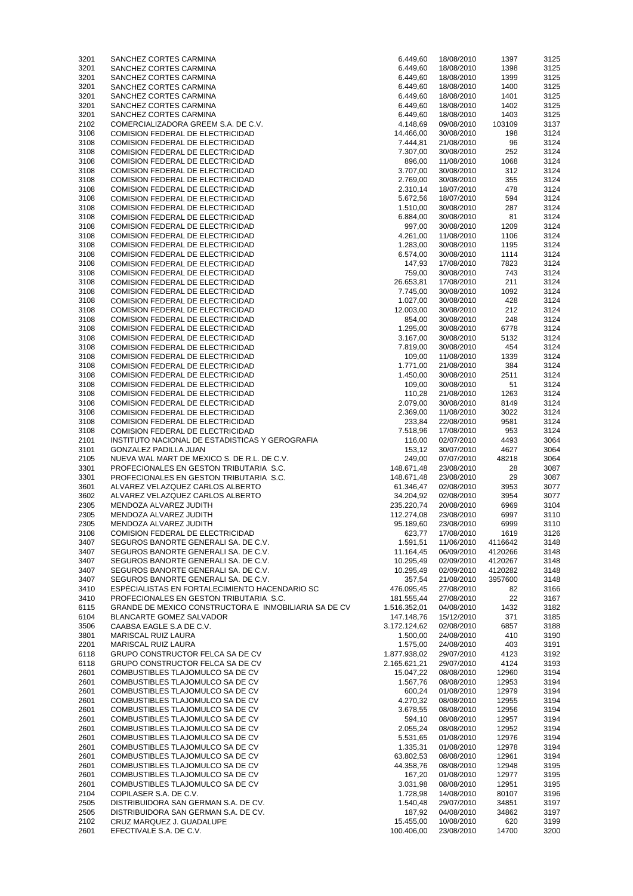| 3201 | SANCHEZ CORTES CARMINA                                       | 6.449,60     | 18/08/2010 | 1397    | 3125 |
|------|--------------------------------------------------------------|--------------|------------|---------|------|
| 3201 | SANCHEZ CORTES CARMINA                                       | 6.449,60     | 18/08/2010 | 1398    | 3125 |
|      |                                                              |              |            |         |      |
| 3201 | SANCHEZ CORTES CARMINA                                       | 6.449,60     | 18/08/2010 | 1399    | 3125 |
| 3201 | SANCHEZ CORTES CARMINA                                       | 6.449,60     | 18/08/2010 | 1400    | 3125 |
| 3201 | SANCHEZ CORTES CARMINA                                       | 6.449,60     | 18/08/2010 | 1401    | 3125 |
| 3201 | SANCHEZ CORTES CARMINA                                       | 6.449,60     | 18/08/2010 | 1402    | 3125 |
| 3201 | SANCHEZ CORTES CARMINA                                       | 6.449,60     | 18/08/2010 | 1403    | 3125 |
| 2102 | COMERCIALIZADORA GREEM S.A. DE C.V.                          | 4.148,69     | 09/08/2010 | 103109  | 3137 |
| 3108 | <b>COMISION FEDERAL DE ELECTRICIDAD</b>                      | 14.466,00    | 30/08/2010 | 198     | 3124 |
| 3108 | <b>COMISION FEDERAL DE ELECTRICIDAD</b>                      | 7.444,81     | 21/08/2010 | 96      | 3124 |
|      |                                                              |              |            |         |      |
| 3108 | <b>COMISION FEDERAL DE ELECTRICIDAD</b>                      | 7.307,00     | 30/08/2010 | 252     | 3124 |
| 3108 | <b>COMISION FEDERAL DE ELECTRICIDAD</b>                      | 896,00       | 11/08/2010 | 1068    | 3124 |
| 3108 | <b>COMISION FEDERAL DE ELECTRICIDAD</b>                      | 3.707,00     | 30/08/2010 | 312     | 3124 |
| 3108 | <b>COMISION FEDERAL DE ELECTRICIDAD</b>                      | 2.769,00     | 30/08/2010 | 355     | 3124 |
| 3108 | <b>COMISION FEDERAL DE ELECTRICIDAD</b>                      | 2.310,14     | 18/07/2010 | 478     | 3124 |
| 3108 | <b>COMISION FEDERAL DE ELECTRICIDAD</b>                      | 5.672,56     | 18/07/2010 | 594     | 3124 |
| 3108 | <b>COMISION FEDERAL DE ELECTRICIDAD</b>                      | 1.510,00     | 30/08/2010 | 287     | 3124 |
| 3108 | <b>COMISION FEDERAL DE ELECTRICIDAD</b>                      | 6.884,00     | 30/08/2010 | 81      | 3124 |
|      |                                                              |              |            |         |      |
| 3108 | COMISION FEDERAL DE ELECTRICIDAD                             | 997,00       | 30/08/2010 | 1209    | 3124 |
| 3108 | <b>COMISION FEDERAL DE ELECTRICIDAD</b>                      | 4.261,00     | 11/08/2010 | 1106    | 3124 |
| 3108 | <b>COMISION FEDERAL DE ELECTRICIDAD</b>                      | 1.283,00     | 30/08/2010 | 1195    | 3124 |
| 3108 | <b>COMISION FEDERAL DE ELECTRICIDAD</b>                      | 6.574,00     | 30/08/2010 | 1114    | 3124 |
| 3108 | <b>COMISION FEDERAL DE ELECTRICIDAD</b>                      | 147,93       | 17/08/2010 | 7823    | 3124 |
| 3108 | <b>COMISION FEDERAL DE ELECTRICIDAD</b>                      | 759,00       | 30/08/2010 | 743     | 3124 |
| 3108 | <b>COMISION FEDERAL DE ELECTRICIDAD</b>                      | 26.653,81    | 17/08/2010 | 211     | 3124 |
| 3108 | COMISION FEDERAL DE ELECTRICIDAD                             | 7.745,00     | 30/08/2010 | 1092    | 3124 |
| 3108 | COMISION FEDERAL DE ELECTRICIDAD                             | 1.027,00     | 30/08/2010 | 428     | 3124 |
|      |                                                              | 12.003,00    | 30/08/2010 | 212     | 3124 |
| 3108 | <b>COMISION FEDERAL DE ELECTRICIDAD</b>                      |              |            |         |      |
| 3108 | <b>COMISION FEDERAL DE ELECTRICIDAD</b>                      | 854,00       | 30/08/2010 | 248     | 3124 |
| 3108 | <b>COMISION FEDERAL DE ELECTRICIDAD</b>                      | 1.295,00     | 30/08/2010 | 6778    | 3124 |
| 3108 | <b>COMISION FEDERAL DE ELECTRICIDAD</b>                      | 3.167,00     | 30/08/2010 | 5132    | 3124 |
| 3108 | <b>COMISION FEDERAL DE ELECTRICIDAD</b>                      | 7.819,00     | 30/08/2010 | 454     | 3124 |
| 3108 | COMISION FEDERAL DE ELECTRICIDAD                             | 109,00       | 11/08/2010 | 1339    | 3124 |
| 3108 | COMISION FEDERAL DE ELECTRICIDAD                             | 1.771,00     | 21/08/2010 | 384     | 3124 |
| 3108 | COMISION FEDERAL DE ELECTRICIDAD                             | 1.450,00     | 30/08/2010 | 2511    | 3124 |
| 3108 |                                                              | 109,00       | 30/08/2010 | 51      | 3124 |
|      | <b>COMISION FEDERAL DE ELECTRICIDAD</b>                      |              |            |         |      |
| 3108 | <b>COMISION FEDERAL DE ELECTRICIDAD</b>                      | 110,28       | 21/08/2010 | 1263    | 3124 |
| 3108 | <b>COMISION FEDERAL DE ELECTRICIDAD</b>                      | 2.079,00     | 30/08/2010 | 8149    | 3124 |
| 3108 | <b>COMISION FEDERAL DE ELECTRICIDAD</b>                      | 2.369,00     | 11/08/2010 | 3022    | 3124 |
| 3108 | <b>COMISION FEDERAL DE ELECTRICIDAD</b>                      | 233,84       | 22/08/2010 | 9581    | 3124 |
| 3108 | <b>COMISION FEDERAL DE ELECTRICIDAD</b>                      | 7.518,96     | 17/08/2010 | 953     | 3124 |
| 2101 | INSTITUTO NACIONAL DE ESTADISTICAS Y GEROGRAFIA              | 116,00       | 02/07/2010 | 4493    | 3064 |
| 3101 | <b>GONZALEZ PADILLA JUAN</b>                                 | 153,12       | 30/07/2010 | 4627    | 3064 |
| 2105 | NUEVA WAL MART DE MEXICO S. DE R.L. DE C.V.                  | 249,00       | 07/07/2010 | 48218   | 3064 |
| 3301 | PROFECIONALES EN GESTON TRIBUTARIA S.C.                      | 148.671,48   | 23/08/2010 | 28      | 3087 |
|      | PROFECIONALES EN GESTON TRIBUTARIA S.C.                      |              |            |         |      |
| 3301 |                                                              | 148.671,48   | 23/08/2010 | 29      | 3087 |
| 3601 | ALVAREZ VELAZQUEZ CARLOS ALBERTO                             | 61.346,47    | 02/08/2010 | 3953    | 3077 |
| 3602 | ALVAREZ VELAZQUEZ CARLOS ALBERTO                             | 34.204,92    | 02/08/2010 | 3954    | 3077 |
| 2305 | MENDOZA ALVAREZ JUDITH                                       | 235.220,74   | 20/08/2010 | 6969    | 3104 |
| 2305 | MENDOZA ALVAREZ JUDITH                                       | 112.274,08   | 23/08/2010 | 6997    | 3110 |
| 2305 | MENDOZA ALVAREZ JUDITH                                       | 95.189,60    | 23/08/2010 | 6999    | 3110 |
| 3108 | <b>COMISION FEDERAL DE ELECTRICIDAD</b>                      | 623,77       | 17/08/2010 | 1619    | 3126 |
| 3407 | SEGUROS BANORTE GENERALI SA. DE C.V.                         | 1.591,51     | 11/06/2010 | 4116642 | 3148 |
| 3407 | SEGUROS BANORTE GENERALI SA. DE C.V.                         | 11.164,45    | 06/09/2010 | 4120266 | 3148 |
| 3407 | SEGUROS BANORTE GENERALI SA. DE C.V.                         | 10.295,49    | 02/09/2010 | 4120267 | 3148 |
| 3407 | SEGUROS BANORTE GENERALI SA. DE C.V.                         | 10.295,49    | 02/09/2010 | 4120282 | 3148 |
| 3407 | SEGUROS BANORTE GENERALI SA. DE C.V.                         | 357,54       | 21/08/2010 | 3957600 | 3148 |
| 3410 | ESPÉCIALISTAS EN FORTALECIMIENTO HACENDARIO SC               | 476.095,45   |            | 82      | 3166 |
|      |                                                              |              | 27/08/2010 |         |      |
| 3410 | PROFECIONALES EN GESTON TRIBUTARIA S.C.                      | 181.555,44   | 27/08/2010 | 22      | 3167 |
| 6115 | <b>GRANDE DE MEXICO CONSTRUCTORA E INMOBILIARIA SA DE CV</b> | 1.516.352,01 | 04/08/2010 | 1432    | 3182 |
| 6104 | <b>BLANCARTE GOMEZ SALVADOR</b>                              | 147.148,76   | 15/12/2010 | 371     | 3185 |
| 3506 | CAABSA EAGLE S.A DE C.V.                                     | 3.172.124,62 | 02/08/2010 | 6857    | 3188 |
| 3801 | <b>MARISCAL RUIZ LAURA</b>                                   | 1.500,00     | 24/08/2010 | 410     | 3190 |
| 2201 | <b>MARISCAL RUIZ LAURA</b>                                   | 1.575,00     | 24/08/2010 | 403     | 3191 |
| 6118 | GRUPO CONSTRUCTOR FELCA SA DE CV                             | 1.877.938,02 | 29/07/2010 | 4123    | 3192 |
| 6118 | GRUPO CONSTRUCTOR FELCA SA DE CV                             | 2.165.621,21 | 29/07/2010 | 4124    | 3193 |
| 2601 | COMBUSTIBLES TLAJOMULCO SA DE CV                             | 15.047,22    | 08/08/2010 | 12960   | 3194 |
|      |                                                              |              |            |         |      |
| 2601 | COMBUSTIBLES TLAJOMULCO SA DE CV                             | 1.567,76     | 08/08/2010 | 12953   | 3194 |
| 2601 | COMBUSTIBLES TLAJOMULCO SA DE CV                             | 600,24       | 01/08/2010 | 12979   | 3194 |
| 2601 | COMBUSTIBLES TLAJOMULCO SA DE CV                             | 4.270,32     | 08/08/2010 | 12955   | 3194 |
| 2601 | COMBUSTIBLES TLAJOMULCO SA DE CV                             | 3.678,55     | 08/08/2010 | 12956   | 3194 |
| 2601 | COMBUSTIBLES TLAJOMULCO SA DE CV                             | 594,10       | 08/08/2010 | 12957   | 3194 |
| 2601 | COMBUSTIBLES TLAJOMULCO SA DE CV                             | 2.055,24     | 08/08/2010 | 12952   | 3194 |
| 2601 | COMBUSTIBLES TLAJOMULCO SA DE CV                             | 5.531,65     | 01/08/2010 | 12976   | 3194 |
|      | COMBUSTIBLES TLAJOMULCO SA DE CV                             | 1.335,31     | 01/08/2010 | 12978   | 3194 |
|      | COMBUSTIBLES TLAJOMULCO SA DE CV                             | 63.802,53    | 08/08/2010 | 12961   | 3194 |
| 2601 | COMBUSTIBLES TLAJOMULCO SA DE CV                             | 44.358,76    | 08/08/2010 | 12948   | 3195 |
| 2601 |                                                              |              |            | 12977   |      |
| 2601 |                                                              |              |            |         | 3195 |
| 2601 | COMBUSTIBLES TLAJOMULCO SA DE CV                             | 167,20       | 01/08/2010 |         |      |
| 2601 | COMBUSTIBLES TLAJOMULCO SA DE CV                             | 3.031,98     | 08/08/2010 | 12951   | 3195 |
| 2104 | COPILASER S.A. DE C.V.                                       | 1.728,98     | 14/08/2010 | 80107   | 3196 |
| 2505 | DISTRIBUIDORA SAN GERMAN S.A. DE CV.                         | 1.540,48     | 29/07/2010 | 34851   | 3197 |
| 2505 | DISTRIBUIDORA SAN GERMAN S.A. DE CV.                         | 187,92       | 04/08/2010 | 34862   | 3197 |
| 2102 | CRUZ MARQUEZ J. GUADALUPE                                    | 15.455,00    | 10/08/2010 | 620     | 3199 |
| 2601 | EFECTIVALE S.A. DE C.V.                                      | 100.406,00   | 23/08/2010 | 14700   | 3200 |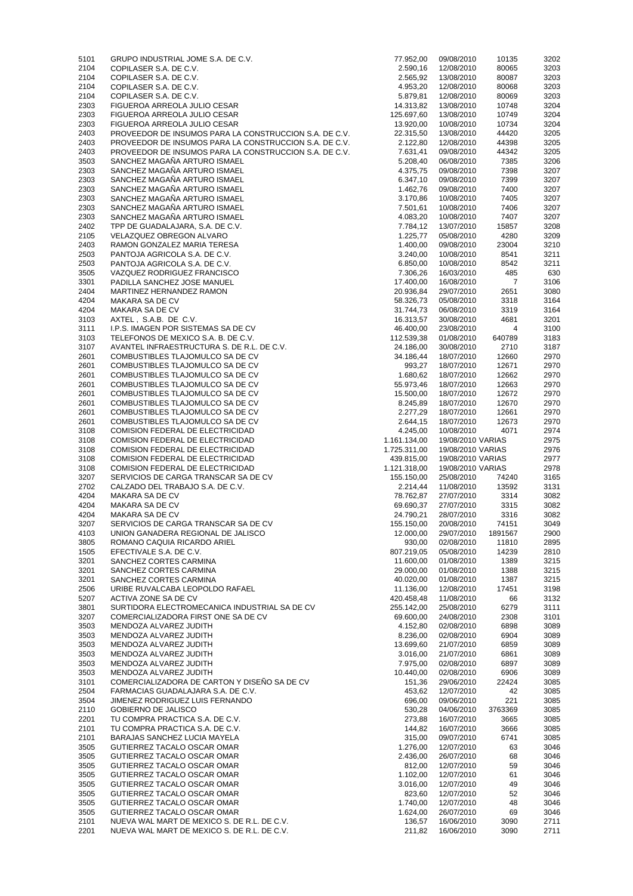| 5101         | GRUPO INDUSTRIAL JOME S.A. DE C.V.                                                         | 77.952,00               | 09/08/2010               | 10135          | 3202         |
|--------------|--------------------------------------------------------------------------------------------|-------------------------|--------------------------|----------------|--------------|
| 2104         | COPILASER S.A. DE C.V.                                                                     | 2.590,16                | 12/08/2010               | 80065          | 3203         |
| 2104<br>2104 | COPILASER S.A. DE C.V.<br>COPILASER S.A. DE C.V.                                           | 2.565,92<br>4.953,20    | 13/08/2010<br>12/08/2010 | 80087<br>80068 | 3203<br>3203 |
| 2104         | COPILASER S.A. DE C.V.                                                                     | 5.879,81                | 12/08/2010               | 80069          | 3203         |
| 2303         | FIGUEROA ARREOLA JULIO CESAR                                                               | 14.313,82               | 13/08/2010               | 10748          | 3204         |
| 2303         | FIGUEROA ARREOLA JULIO CESAR                                                               | 125.697,60              | 13/08/2010               | 10749          | 3204         |
| 2303         | FIGUEROA ARREOLA JULIO CESAR                                                               | 13.920,00               | 10/08/2010               | 10734          | 3204         |
| 2403         | PROVEEDOR DE INSUMOS PARA LA CONSTRUCCION S.A. DE C.V.                                     | 22.315,50               | 13/08/2010               | 44420          | 3205         |
| 2403         | PROVEEDOR DE INSUMOS PARA LA CONSTRUCCION S.A. DE C.V.                                     | 2.122,80                | 12/08/2010               | 44398          | 3205         |
| 2403<br>3503 | PROVEEDOR DE INSUMOS PARA LA CONSTRUCCION S.A. DE C.V.<br>SANCHEZ MAGAÑA ARTURO ISMAEL     | 7.631,41<br>5.208,40    | 09/08/2010<br>06/08/2010 | 44342<br>7385  | 3205<br>3206 |
| 2303         | SANCHEZ MAGAÑA ARTURO ISMAEL                                                               | 4.375,75                | 09/08/2010               | 7398           | 3207         |
| 2303         | SANCHEZ MAGAÑA ARTURO ISMAEL                                                               | 6.347,10                | 09/08/2010               | 7399           | 3207         |
| 2303         | SANCHEZ MAGAÑA ARTURO ISMAEL                                                               | 1.462,76                | 09/08/2010               | 7400           | 3207         |
| 2303         | SANCHEZ MAGAÑA ARTURO ISMAEL                                                               | 3.170,86                | 10/08/2010               | 7405           | 3207         |
| 2303         | SANCHEZ MAGAÑA ARTURO ISMAEL                                                               | 7.501,61                | 10/08/2010               | 7406           | 3207         |
| 2303         | SANCHEZ MAGAÑA ARTURO ISMAEL                                                               | 4.083,20                | 10/08/2010               | 7407           | 3207         |
| 2402<br>2105 | TPP DE GUADALAJARA, S.A. DE C.V.<br>VELAZQUEZ OBREGON ALVARO                               | 7.784,12<br>1.225,77    | 13/07/2010<br>05/08/2010 | 15857<br>4280  | 3208<br>3209 |
| 2403         | RAMON GONZALEZ MARIA TERESA                                                                | 1.400,00                | 09/08/2010               | 23004          | 3210         |
| 2503         | PANTOJA AGRICOLA S.A. DE C.V.                                                              | 3.240,00                | 10/08/2010               | 8541           | 3211         |
| 2503         | PANTOJA AGRICOLA S.A. DE C.V.                                                              | 6.850,00                | 10/08/2010               | 8542           | 3211         |
| 3505         | VAZQUEZ RODRIGUEZ FRANCISCO                                                                | 7.306,26                | 16/03/2010               | 485            | 630          |
| 3301         | PADILLA SANCHEZ JOSE MANUEL                                                                | 17.400,00               | 16/08/2010               | $\overline{7}$ | 3106         |
| 2404         | MARTINEZ HERNANDEZ RAMON                                                                   | 20.936,84               | 29/07/2010               | 2651           | 3080         |
| 4204         | MAKARA SA DE CV                                                                            | 58.326,73               | 05/08/2010               | 3318<br>3319   | 3164<br>3164 |
| 4204<br>3103 | <b>MAKARA SA DE CV</b><br>AXTEL, S.A.B. DE C.V.                                            | 31.744,73<br>16.313,57  | 06/08/2010<br>30/08/2010 | 4681           | 3201         |
| 3111         | I.P.S. IMAGEN POR SISTEMAS SA DE CV                                                        | 46.400,00               | 23/08/2010               | 4              | 3100         |
| 3103         | TELEFONOS DE MEXICO S.A. B. DE C.V.                                                        | 112.539,38              | 01/08/2010               | 640789         | 3183         |
| 3107         | AVANTEL INFRAESTRUCTURA S. DE R.L. DE C.V.                                                 | 24.186,00               | 30/08/2010               | 2710           | 3187         |
| 2601         | COMBUSTIBLES TLAJOMULCO SA DE CV                                                           | 34.186,44               | 18/07/2010               | 12660          | 2970         |
| 2601         | COMBUSTIBLES TLAJOMULCO SA DE CV                                                           | 993,27                  | 18/07/2010               | 12671          | 2970         |
| 2601         | COMBUSTIBLES TLAJOMULCO SA DE CV                                                           | 1.680,62                | 18/07/2010               | 12662          | 2970         |
| 2601         | COMBUSTIBLES TLAJOMULCO SA DE CV                                                           | 55.973,46<br>15.500,00  | 18/07/2010               | 12663          | 2970         |
| 2601<br>2601 | COMBUSTIBLES TLAJOMULCO SA DE CV<br>COMBUSTIBLES TLAJOMULCO SA DE CV                       | 8.245,89                | 18/07/2010<br>18/07/2010 | 12672<br>12670 | 2970<br>2970 |
| 2601         | COMBUSTIBLES TLAJOMULCO SA DE CV                                                           | 2.277,29                | 18/07/2010               | 12661          | 2970         |
| 2601         | COMBUSTIBLES TLAJOMULCO SA DE CV                                                           | 2.644,15                | 18/07/2010               | 12673          | 2970         |
| 3108         | COMISION FEDERAL DE ELECTRICIDAD                                                           | 4.245,00                | 10/08/2010               | 4071           | 2974         |
|              | <b>COMISION FEDERAL DE ELECTRICIDAD</b>                                                    | 1.161.134,00            | 19/08/2010 VARIAS        |                |              |
| 3108         |                                                                                            |                         |                          |                | 2975         |
| 3108         | <b>COMISION FEDERAL DE ELECTRICIDAD</b>                                                    | 1.725.311,00            | 19/08/2010 VARIAS        |                | 2976         |
| 3108         | <b>COMISION FEDERAL DE ELECTRICIDAD</b>                                                    | 439.815,00              | 19/08/2010 VARIAS        |                | 2977         |
| 3108         | <b>COMISION FEDERAL DE ELECTRICIDAD</b>                                                    | 1.121.318,00            | 19/08/2010 VARIAS        |                | 2978         |
| 3207         | SERVICIOS DE CARGA TRANSCAR SA DE CV<br>CALZADO DEL TRABAJO S.A. DE C.V.                   | 155.150,00              | 25/08/2010<br>11/08/2010 | 74240          | 3165         |
| 2702<br>4204 | <b>MAKARA SA DE CV</b>                                                                     | 2.214,44<br>78.762,87   | 27/07/2010               | 13592<br>3314  | 3131<br>3082 |
| 4204         | MAKARA SA DE CV                                                                            | 69.690,37               | 27/07/2010               | 3315           | 3082         |
| 4204         | <b>MAKARA SA DE CV</b>                                                                     | 24.790,21               | 28/07/2010               | 3316           | 3082         |
| 3207         | SERVICIOS DE CARGA TRANSCAR SA DE CV                                                       | 155.150,00              | 20/08/2010               | 74151          | 3049         |
| 4103         | UNION GANADERA REGIONAL DE JALISCO                                                         | 12.000,00               | 29/07/2010               | 1891567        | 2900         |
| 3805         | ROMANO CAQUIA RICARDO ARIEL                                                                | 930,00                  | 02/08/2010               | 11810          | 2895         |
| 1505<br>3201 | EFECTIVALE S.A. DE C.V.<br>SANCHEZ CORTES CARMINA                                          | 807.219,05<br>11.600,00 | 05/08/2010<br>01/08/2010 | 14239<br>1389  | 2810<br>3215 |
| 3201         | SANCHEZ CORTES CARMINA                                                                     | 29.000,00               | 01/08/2010               | 1388           | 3215         |
| 3201         | SANCHEZ CORTES CARMINA                                                                     | 40.020,00               | 01/08/2010               | 1387           | 3215         |
| 2506         | URIBE RUVALCABA LEOPOLDO RAFAEL                                                            | 11.136,00               | 12/08/2010               | 17451          | 3198         |
| 5207         | ACTIVA ZONE SA DE CV                                                                       | 420.458,48              | 11/08/2010               | 66             | 3132         |
| 3801         | SURTIDORA ELECTROMECANICA INDUSTRIAL SA DE CV                                              | 255.142,00              | 25/08/2010               | 6279           | 3111         |
| 3207         | COMERCIALIZADORA FIRST ONE SA DE CV                                                        | 69.600,00               | 24/08/2010               | 2308           | 3101         |
| 3503<br>3503 | MENDOZA ALVAREZ JUDITH<br>MENDOZA ALVAREZ JUDITH                                           | 4.152,80<br>8.236,00    | 02/08/2010<br>02/08/2010 | 6898<br>6904   | 3089<br>3089 |
| 3503         | MENDOZA ALVAREZ JUDITH                                                                     | 13.699,60               | 21/07/2010               | 6859           | 3089         |
| 3503         | MENDOZA ALVAREZ JUDITH                                                                     | 3.016,00                | 21/07/2010               | 6861           | 3089         |
| 3503         | MENDOZA ALVAREZ JUDITH                                                                     | 7.975,00                | 02/08/2010               | 6897           | 3089         |
| 3503         | MENDOZA ALVAREZ JUDITH                                                                     | 10.440,00               | 02/08/2010               | 6906           | 3089         |
| 3101         | COMERCIALIZADORA DE CARTON Y DISEÑO SA DE CV                                               | 151,36                  | 29/06/2010               | 22424          | 3085         |
| 2504<br>3504 | FARMACIAS GUADALAJARA S.A. DE C.V.<br>JIMENEZ RODRIGUEZ LUIS FERNANDO                      | 453,62<br>696,00        | 12/07/2010<br>09/06/2010 | 42<br>221      | 3085<br>3085 |
| 2110         | <b>GOBIERNO DE JALISCO</b>                                                                 | 530,28                  | 04/06/2010               | 3763369        | 3085         |
| 2201         | TU COMPRA PRACTICA S.A. DE C.V.                                                            | 273,88                  | 16/07/2010               | 3665           | 3085         |
| 2101         | TU COMPRA PRACTICA S.A. DE C.V.                                                            | 144,82                  | 16/07/2010               | 3666           | 3085         |
| 2101         | BARAJAS SANCHEZ LUCIA MAYELA                                                               | 315,00                  | 09/07/2010               | 6741           | 3085         |
| 3505         | GUTIERREZ TACALO OSCAR OMAR                                                                | 1.276,00                | 12/07/2010               | 63             | 3046         |
| 3505<br>3505 | GUTIERREZ TACALO OSCAR OMAR<br>GUTIERREZ TACALO OSCAR OMAR                                 | 2.436,00<br>812,00      | 26/07/2010<br>12/07/2010 | 68<br>59       | 3046<br>3046 |
| 3505         | GUTIERREZ TACALO OSCAR OMAR                                                                | 1.102,00                | 12/07/2010               | 61             | 3046         |
| 3505         | GUTIERREZ TACALO OSCAR OMAR                                                                | 3.016,00                | 12/07/2010               | 49             | 3046         |
| 3505         | GUTIERREZ TACALO OSCAR OMAR                                                                | 823,60                  | 12/07/2010               | 52             | 3046         |
| 3505         | GUTIERREZ TACALO OSCAR OMAR                                                                | 1.740,00                | 12/07/2010               | 48             | 3046         |
| 3505         | GUTIERREZ TACALO OSCAR OMAR                                                                | 1.624,00                | 26/07/2010               | 69             | 3046         |
| 2101<br>2201 | NUEVA WAL MART DE MEXICO S. DE R.L. DE C.V.<br>NUEVA WAL MART DE MEXICO S. DE R.L. DE C.V. | 136,57<br>211,82        | 16/06/2010<br>16/06/2010 | 3090<br>3090   | 2711<br>2711 |